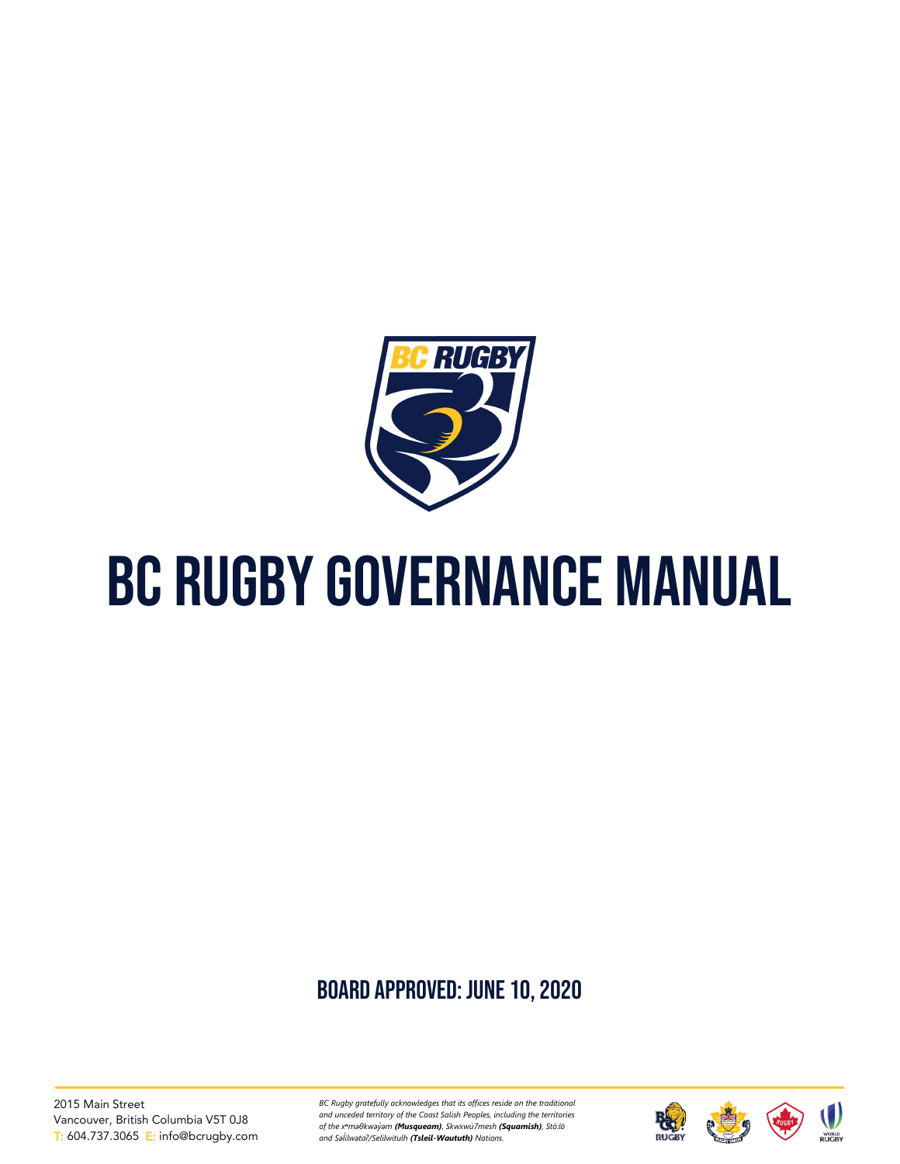

# BC Rugby governance manual

# board approved: June 10, 2020

2015 Main Street Vancouver, British Columbia V5T 0J8 T: 604.737.3065 E: info@bcrugby.com

*BC Rugby gratefully acknowledges that its offices reside on the traditional and unceded territory of the Coast Salish Peoples, including the territories of the xʷməθkwəy̓əm (Musqueam), Skwxwú7mesh (Squamish), Stó:lō and Səl̓ ílwətaʔ/Selilwitulh (Tsleil-Waututh) Nations.*





**WORLD**<br>RUGBY.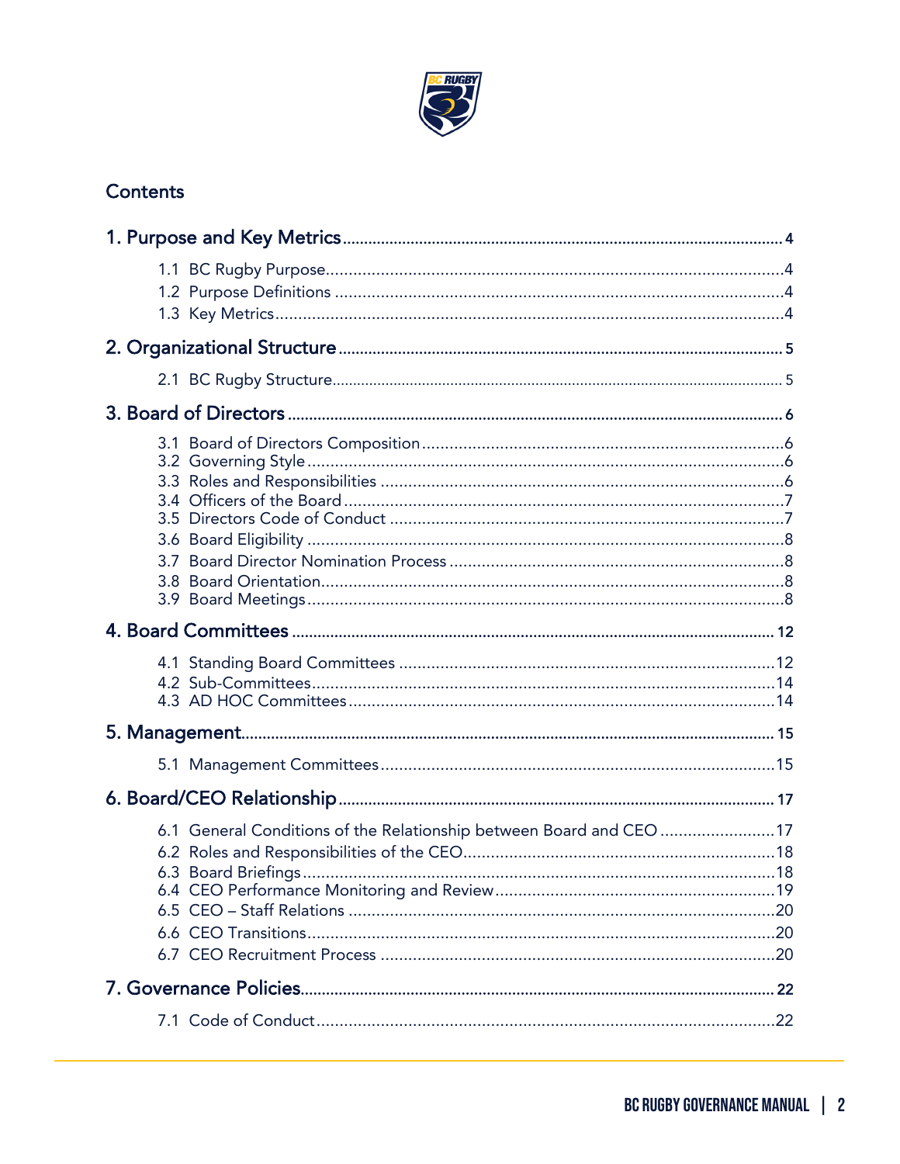

# Contents

| 6.1 General Conditions of the Relationship between Board and CEO 17 |
|---------------------------------------------------------------------|
|                                                                     |
|                                                                     |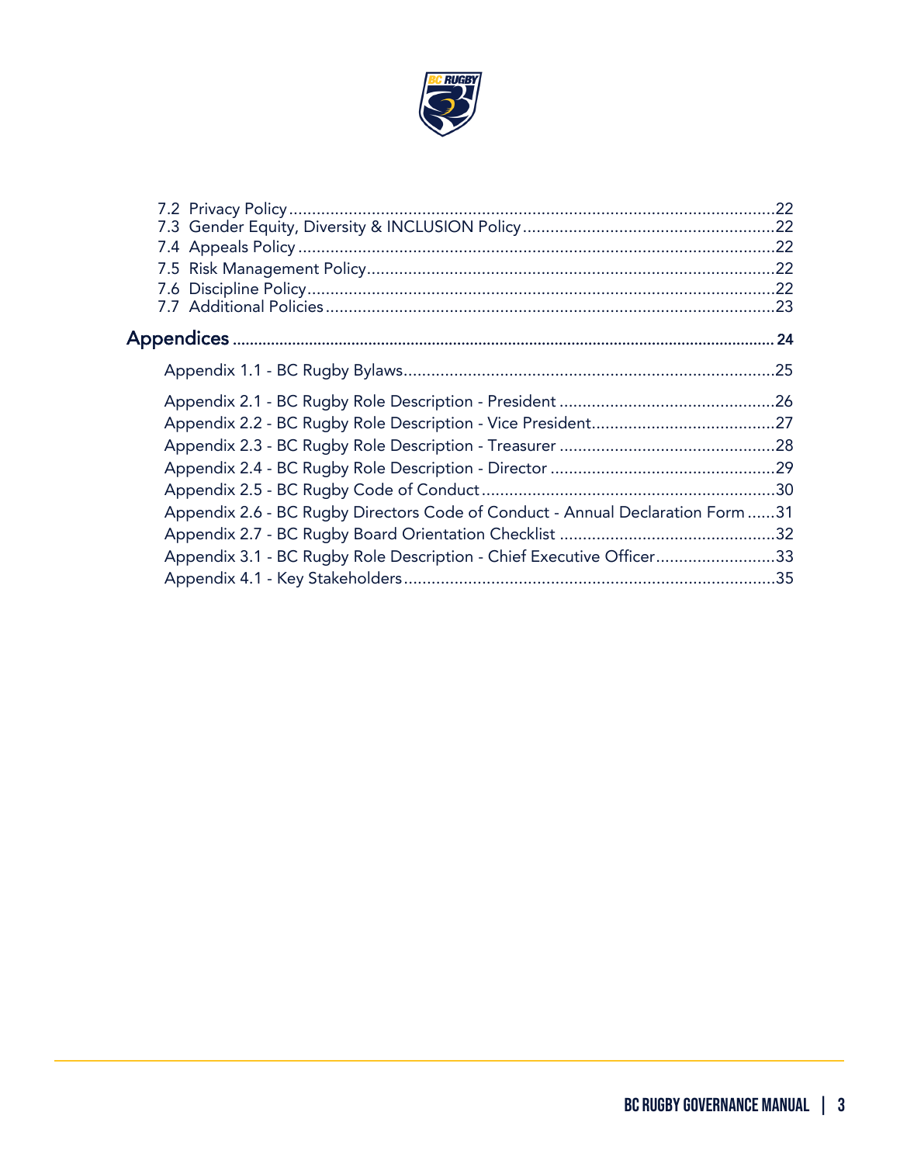

| Appendix 2.6 - BC Rugby Directors Code of Conduct - Annual Declaration Form 31 |  |
|--------------------------------------------------------------------------------|--|
|                                                                                |  |
| Appendix 3.1 - BC Rugby Role Description - Chief Executive Officer33           |  |
|                                                                                |  |
|                                                                                |  |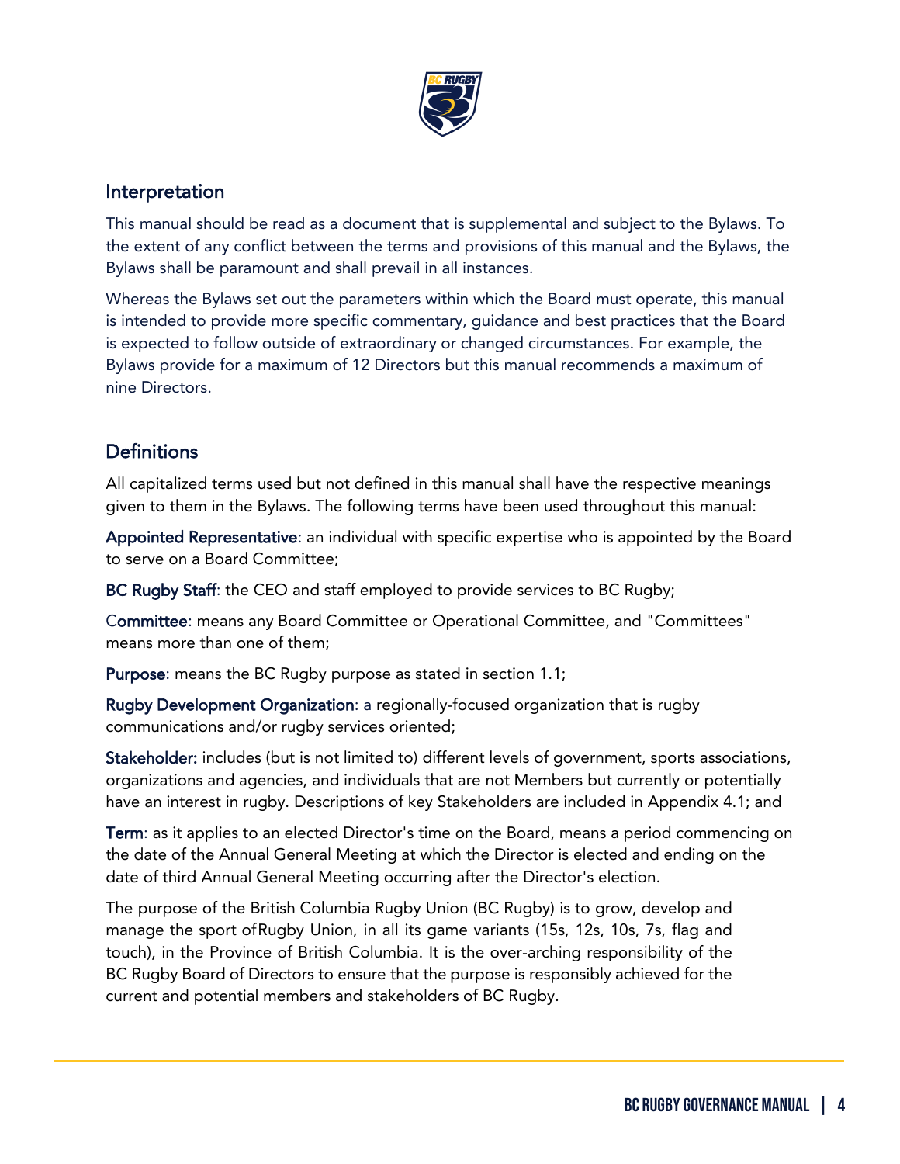

# Interpretation

This manual should be read as a document that is supplemental and subject to the Bylaws. To the extent of any conflict between the terms and provisions of this manual and the Bylaws, the Bylaws shall be paramount and shall prevail in all instances.

Whereas the Bylaws set out the parameters within which the Board must operate, this manual is intended to provide more specific commentary, guidance and best practices that the Board is expected to follow outside of extraordinary or changed circumstances. For example, the Bylaws provide for a maximum of 12 Directors but this manual recommends a maximum of nine Directors.

# **Definitions**

ֺ

All capitalized terms used but not defined in this manual shall have the respective meanings given to them in the Bylaws. The following terms have been used throughout this manual:

Appointed Representative: an individual with specific expertise who is appointed by the Board to serve on a Board Committee;

BC Rugby Staff: the CEO and staff employed to provide services to BC Rugby;

Committee: means any Board Committee or Operational Committee, and "Committees" means more than one of them;

Purpose: means the BC Rugby purpose as stated in section 1.1;

Rugby Development Organization: a regionally-focused organization that is rugby communications and/or rugby services oriented;

Stakeholder: includes (but is not limited to) different levels of government, sports associations, organizations and agencies, and individuals that are not Members but currently or potentially have an interest in rugby. Descriptions of key Stakeholders are included in Appendix 4.1; and

Term: as it applies to an elected Director's time on the Board, means a period commencing on the date of the Annual General Meeting at which the Director is elected and ending on the date of third Annual General Meeting occurring after the Director's election.

The purpose of the British Columbia Rugby Union (BC Rugby) is to grow, develop and manage the sport ofRugby Union, in all its game variants (15s, 12s, 10s, 7s, flag and touch), in the Province of British Columbia. It is the over-arching responsibility of the BC Rugby Board of Directors to ensure that the purpose is responsibly achieved for the current and potential members and stakeholders of BC Rugby.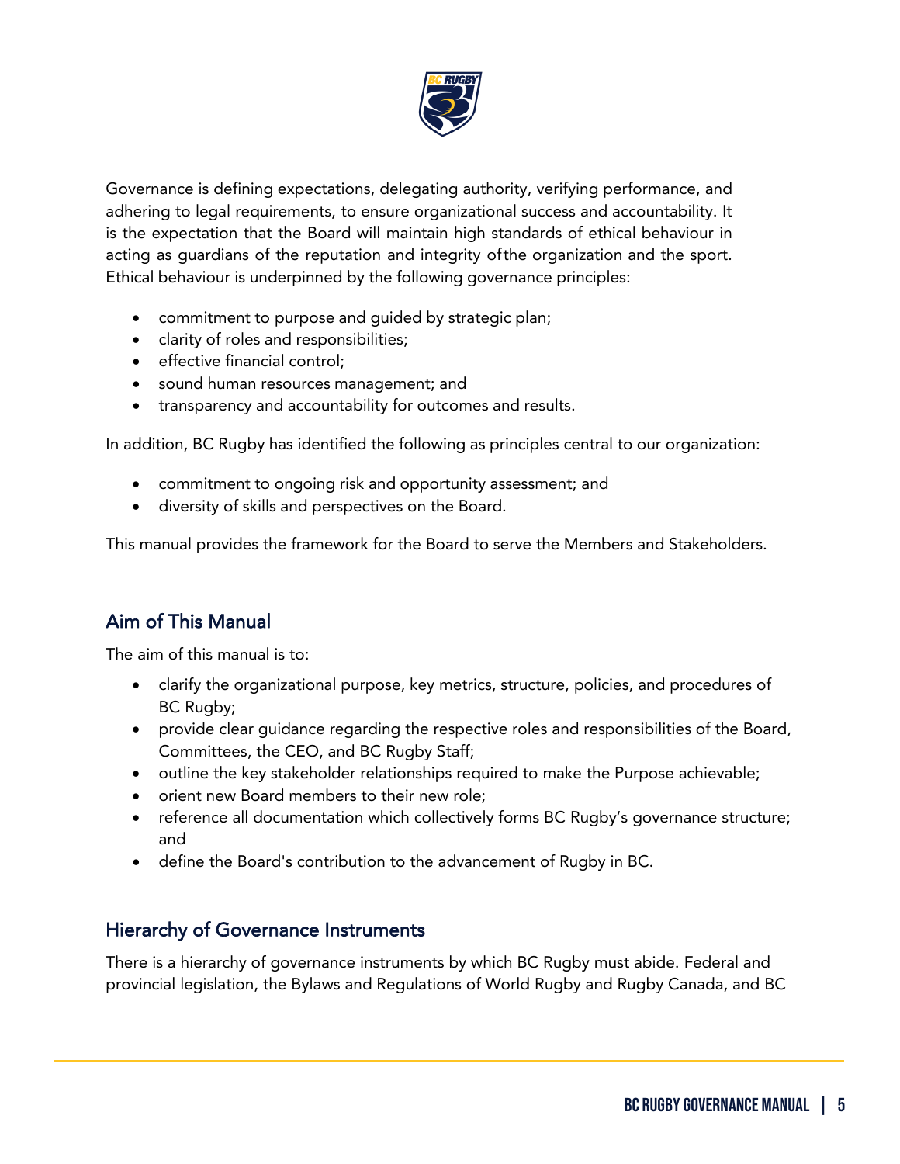

Governance is defining expectations, delegating authority, verifying performance, and adhering to legal requirements, to ensure organizational success and accountability. It is the expectation that the Board will maintain high standards of ethical behaviour in acting as guardians of the reputation and integrity ofthe organization and the sport. Ethical behaviour is underpinned by the following governance principles:

- commitment to purpose and guided by strategic plan;
- clarity of roles and responsibilities;
- effective financial control;
- sound human resources management; and
- transparency and accountability for outcomes and results.

In addition, BC Rugby has identified the following as principles central to our organization:

- commitment to ongoing risk and opportunity assessment; and
- diversity of skills and perspectives on the Board.

This manual provides the framework for the Board to serve the Members and Stakeholders.

# Aim of This Manual

ֺ

The aim of this manual is to:

- clarify the organizational purpose, key metrics, structure, policies, and procedures of BC Rugby;
- provide clear guidance regarding the respective roles and responsibilities of the Board, Committees, the CEO, and BC Rugby Staff;
- outline the key stakeholder relationships required to make the Purpose achievable;
- orient new Board members to their new role;
- reference all documentation which collectively forms BC Rugby's governance structure; and
- define the Board's contribution to the advancement of Rugby in BC.

# Hierarchy of Governance Instruments

There is a hierarchy of governance instruments by which BC Rugby must abide. Federal and provincial legislation, the Bylaws and Regulations of World Rugby and Rugby Canada, and BC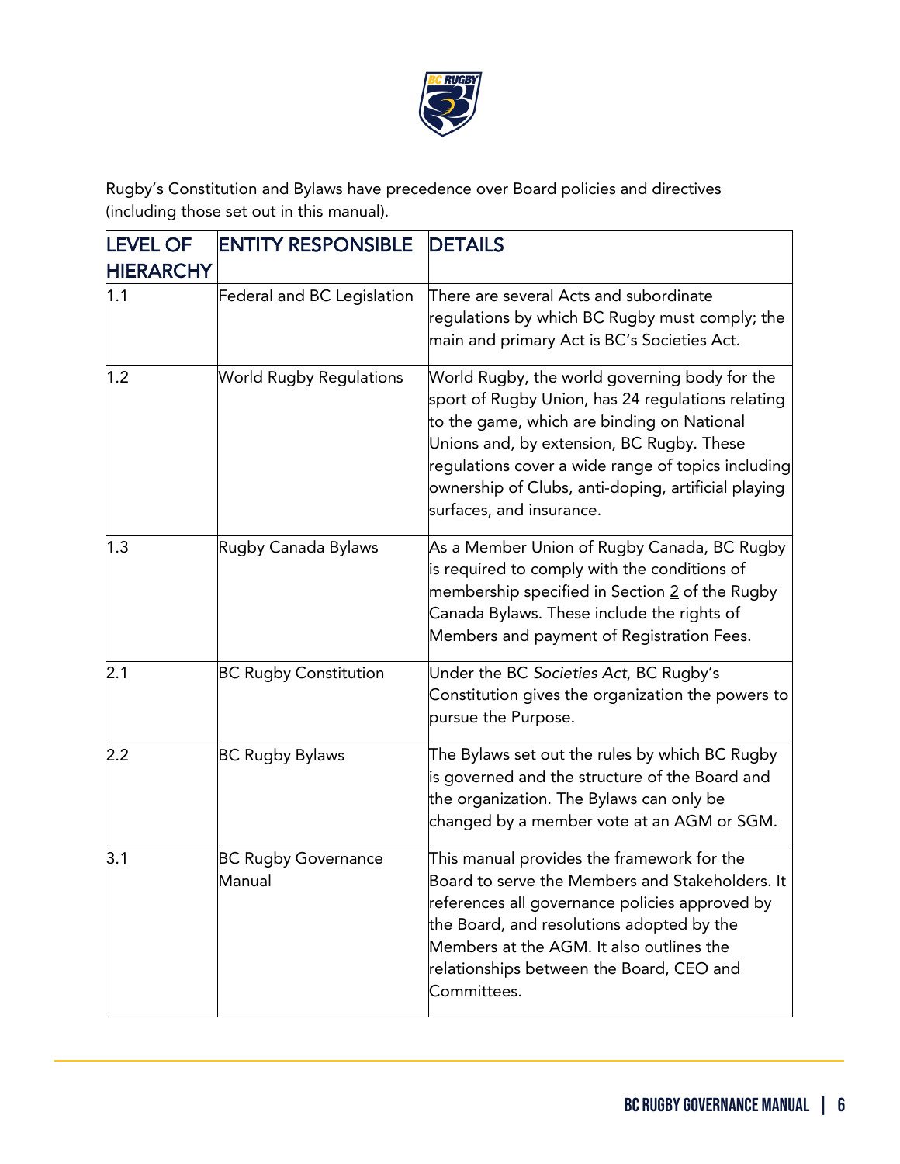

Rugby's Constitution and Bylaws have precedence over Board policies and directives (including those set out in this manual).

| <b>LEVEL OF</b>  | <b>ENTITY RESPONSIBLE</b>            | <b>DETAILS</b>                                                                                                                                                                                                                                                                                                                         |
|------------------|--------------------------------------|----------------------------------------------------------------------------------------------------------------------------------------------------------------------------------------------------------------------------------------------------------------------------------------------------------------------------------------|
| <b>HIERARCHY</b> |                                      |                                                                                                                                                                                                                                                                                                                                        |
| 1.1              | Federal and BC Legislation           | There are several Acts and subordinate<br>regulations by which BC Rugby must comply; the<br>main and primary Act is BC's Societies Act.                                                                                                                                                                                                |
| 1.2              | <b>World Rugby Regulations</b>       | World Rugby, the world governing body for the<br>sport of Rugby Union, has 24 regulations relating<br>to the game, which are binding on National<br>Unions and, by extension, BC Rugby. These<br>regulations cover a wide range of topics including<br>ownership of Clubs, anti-doping, artificial playing<br>surfaces, and insurance. |
| 1.3              | Rugby Canada Bylaws                  | As a Member Union of Rugby Canada, BC Rugby<br>is required to comply with the conditions of<br>membership specified in Section 2 of the Rugby<br>Canada Bylaws. These include the rights of<br>Members and payment of Registration Fees.                                                                                               |
| 2.1              | <b>BC Rugby Constitution</b>         | Under the BC Societies Act, BC Rugby's<br>Constitution gives the organization the powers to<br>pursue the Purpose.                                                                                                                                                                                                                     |
| 2.2              | <b>BC Rugby Bylaws</b>               | The Bylaws set out the rules by which BC Rugby<br>is governed and the structure of the Board and<br>the organization. The Bylaws can only be<br>changed by a member vote at an AGM or SGM.                                                                                                                                             |
| 3.1              | <b>BC Rugby Governance</b><br>Manual | This manual provides the framework for the<br>Board to serve the Members and Stakeholders. It<br>references all governance policies approved by<br>the Board, and resolutions adopted by the<br>Members at the AGM. It also outlines the<br>relationships between the Board, CEO and<br>Committees.                                    |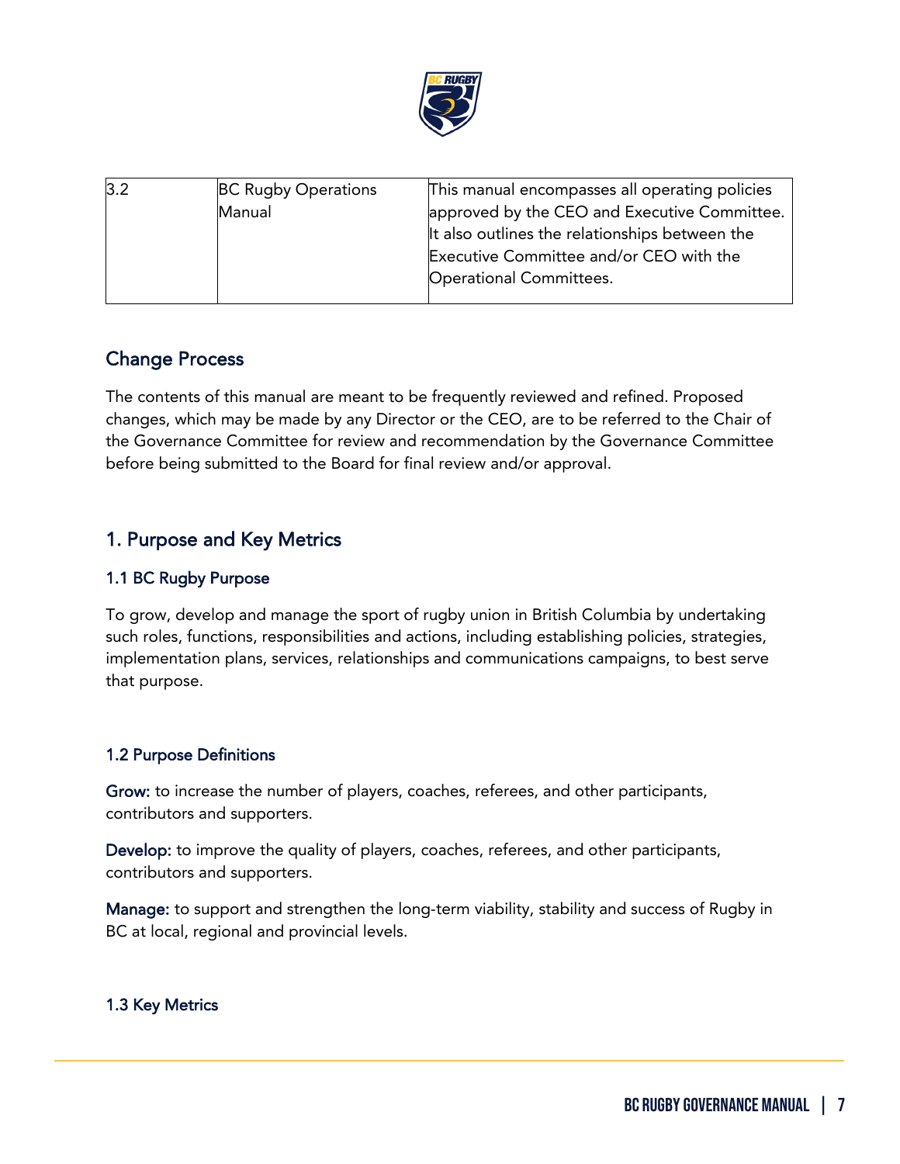

| 3.2 | <b>BC Rugby Operations</b> | This manual encompasses all operating policies |
|-----|----------------------------|------------------------------------------------|
|     | Manual                     | approved by the CEO and Executive Committee.   |
|     |                            | It also outlines the relationships between the |
|     |                            | Executive Committee and/or CEO with the        |
|     |                            | Operational Committees.                        |
|     |                            |                                                |

# Change Process

The contents of this manual are meant to be frequently reviewed and refined. Proposed changes, which may be made by any Director or the CEO, are to be referred to the Chair of the Governance Committee for review and recommendation by the Governance Committee before being submitted to the Board for final review and/or approval.

# <span id="page-6-0"></span>1. Purpose and Key Metrics

# 1.1 BC Rugby Purpose

To grow, develop and manage the sport of rugby union in British Columbia by undertaking such roles, functions, responsibilities and actions, including establishing policies, strategies, implementation plans, services, relationships and communications campaigns, to best serve that purpose.

# 1.2 Purpose Definitions

Grow: to increase the number of players, coaches, referees, and other participants, contributors and supporters.

Develop: to improve the quality of players, coaches, referees, and other participants, contributors and supporters.

Manage: to support and strengthen the long-term viability, stability and success of Rugby in BC at local, regional and provincial levels.

# 1.3 Key Metrics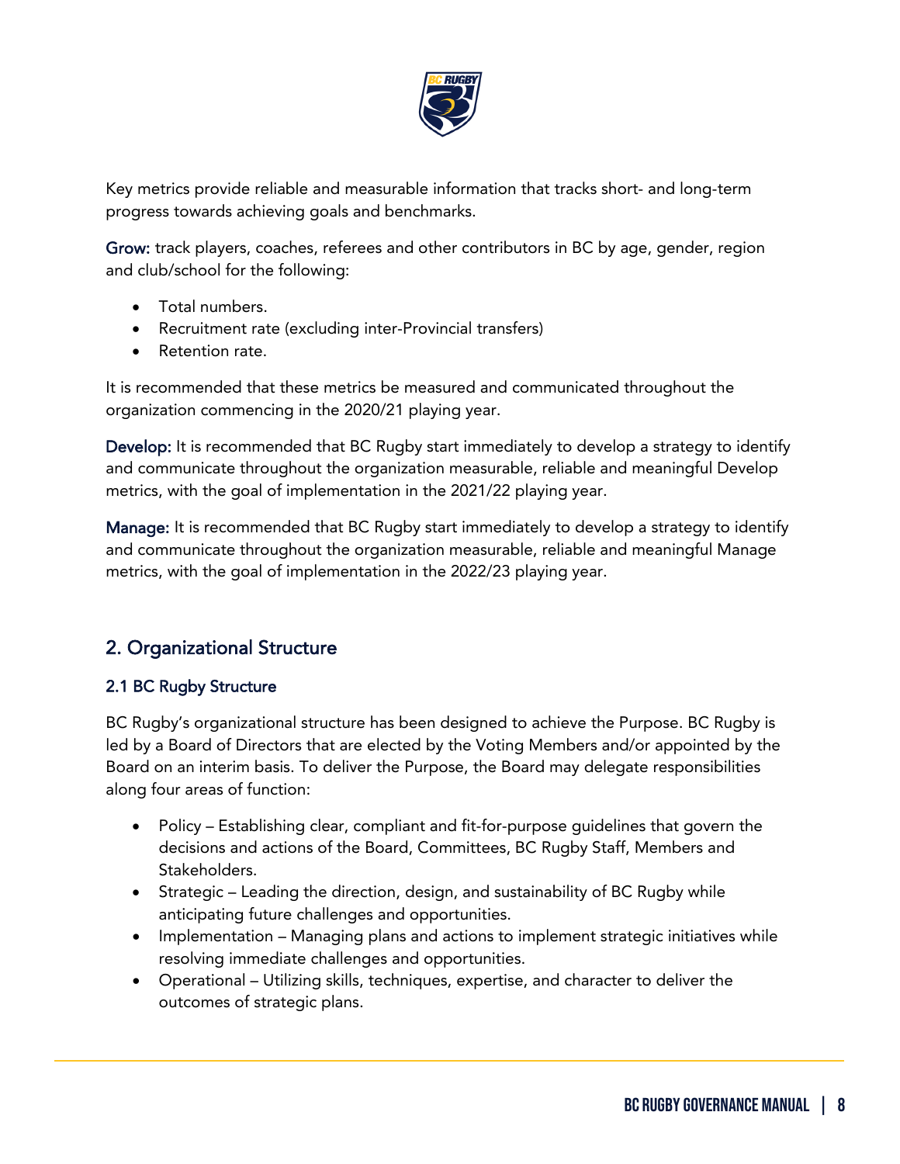

Key metrics provide reliable and measurable information that tracks short- and long-term progress towards achieving goals and benchmarks.

Grow: track players, coaches, referees and other contributors in BC by age, gender, region and club/school for the following:

- Total numbers.
- Recruitment rate (excluding inter-Provincial transfers)
- Retention rate.

It is recommended that these metrics be measured and communicated throughout the organization commencing in the 2020/21 playing year.

Develop: It is recommended that BC Rugby start immediately to develop a strategy to identify and communicate throughout the organization measurable, reliable and meaningful Develop metrics, with the goal of implementation in the 2021/22 playing year.

Manage: It is recommended that BC Rugby start immediately to develop a strategy to identify and communicate throughout the organization measurable, reliable and meaningful Manage metrics, with the goal of implementation in the 2022/23 playing year.

# <span id="page-7-0"></span>2. Organizational Structure

## 2.1 BC Rugby Structure

ֺ

BC Rugby's organizational structure has been designed to achieve the Purpose. BC Rugby is led by a Board of Directors that are elected by the Voting Members and/or appointed by the Board on an interim basis. To deliver the Purpose, the Board may delegate responsibilities along four areas of function:

- Policy Establishing clear, compliant and fit-for-purpose guidelines that govern the decisions and actions of the Board, Committees, BC Rugby Staff, Members and Stakeholders.
- Strategic Leading the direction, design, and sustainability of BC Rugby while anticipating future challenges and opportunities.
- Implementation Managing plans and actions to implement strategic initiatives while resolving immediate challenges and opportunities.
- Operational Utilizing skills, techniques, expertise, and character to deliver the outcomes of strategic plans.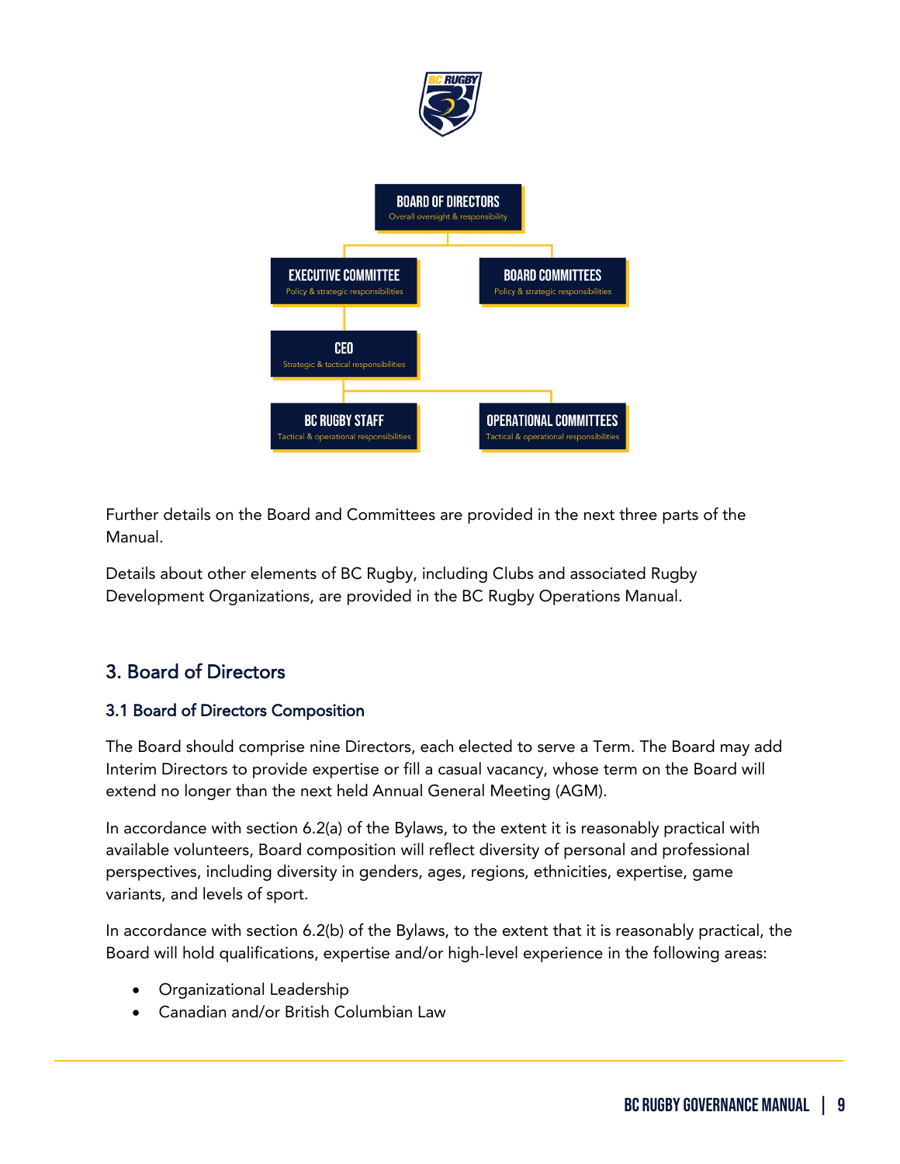

Further details on the Board and Committees are provided in the next three parts of the Manual.

Details about other elements of BC Rugby, including Clubs and associated Rugby Development Organizations, are provided in the BC Rugby Operations Manual.

# <span id="page-8-0"></span>3. Board of Directors

# 3.1 Board of Directors Composition

The Board should comprise nine Directors, each elected to serve a Term. The Board may add Interim Directors to provide expertise or fill a casual vacancy, whose term on the Board will extend no longer than the next held Annual General Meeting (AGM).

In accordance with section 6.2(a) of the Bylaws, to the extent it is reasonably practical with available volunteers, Board composition will reflect diversity of personal and professional perspectives, including diversity in genders, ages, regions, ethnicities, expertise, game variants, and levels of sport.

In accordance with section 6.2(b) of the Bylaws, to the extent that it is reasonably practical, the Board will hold qualifications, expertise and/or high-level experience in the following areas:

• Organizational Leadership

ֺ

• Canadian and/or British Columbian Law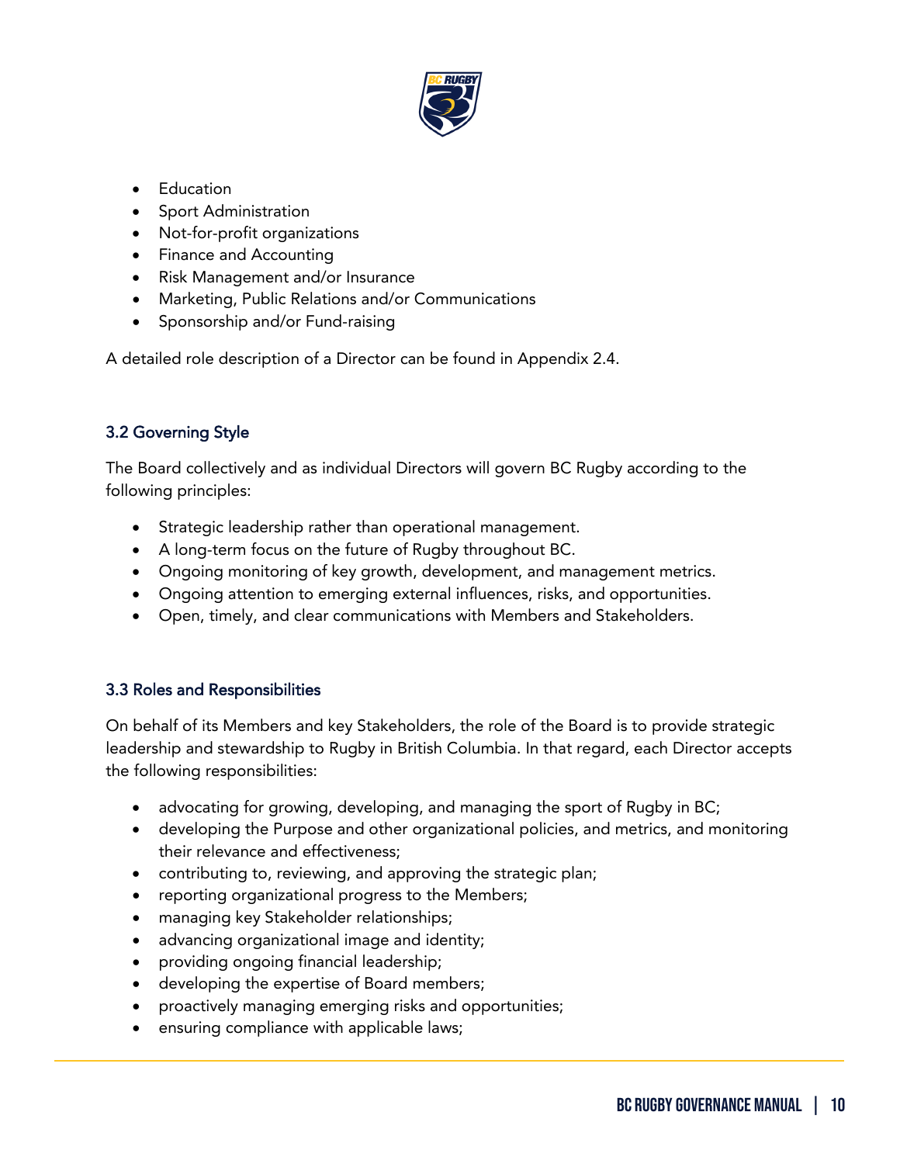

- Education
- Sport Administration
- Not-for-profit organizations
- Finance and Accounting
- Risk Management and/or Insurance
- Marketing, Public Relations and/or Communications
- Sponsorship and/or Fund-raising

A detailed role description of a Director can be found in Appendix 2.4.

# 3.2 Governing Style

The Board collectively and as individual Directors will govern BC Rugby according to the following principles:

- Strategic leadership rather than operational management.
- A long-term focus on the future of Rugby throughout BC.
- Ongoing monitoring of key growth, development, and management metrics.
- Ongoing attention to emerging external influences, risks, and opportunities.
- Open, timely, and clear communications with Members and Stakeholders.

# 3.3 Roles and Responsibilities

ֺ

On behalf of its Members and key Stakeholders, the role of the Board is to provide strategic leadership and stewardship to Rugby in British Columbia. In that regard, each Director accepts the following responsibilities:

- advocating for growing, developing, and managing the sport of Rugby in BC;
- developing the Purpose and other organizational policies, and metrics, and monitoring their relevance and effectiveness;
- contributing to, reviewing, and approving the strategic plan;
- reporting organizational progress to the Members;
- managing key Stakeholder relationships;
- advancing organizational image and identity;
- providing ongoing financial leadership;
- developing the expertise of Board members;
- proactively managing emerging risks and opportunities;
- ensuring compliance with applicable laws;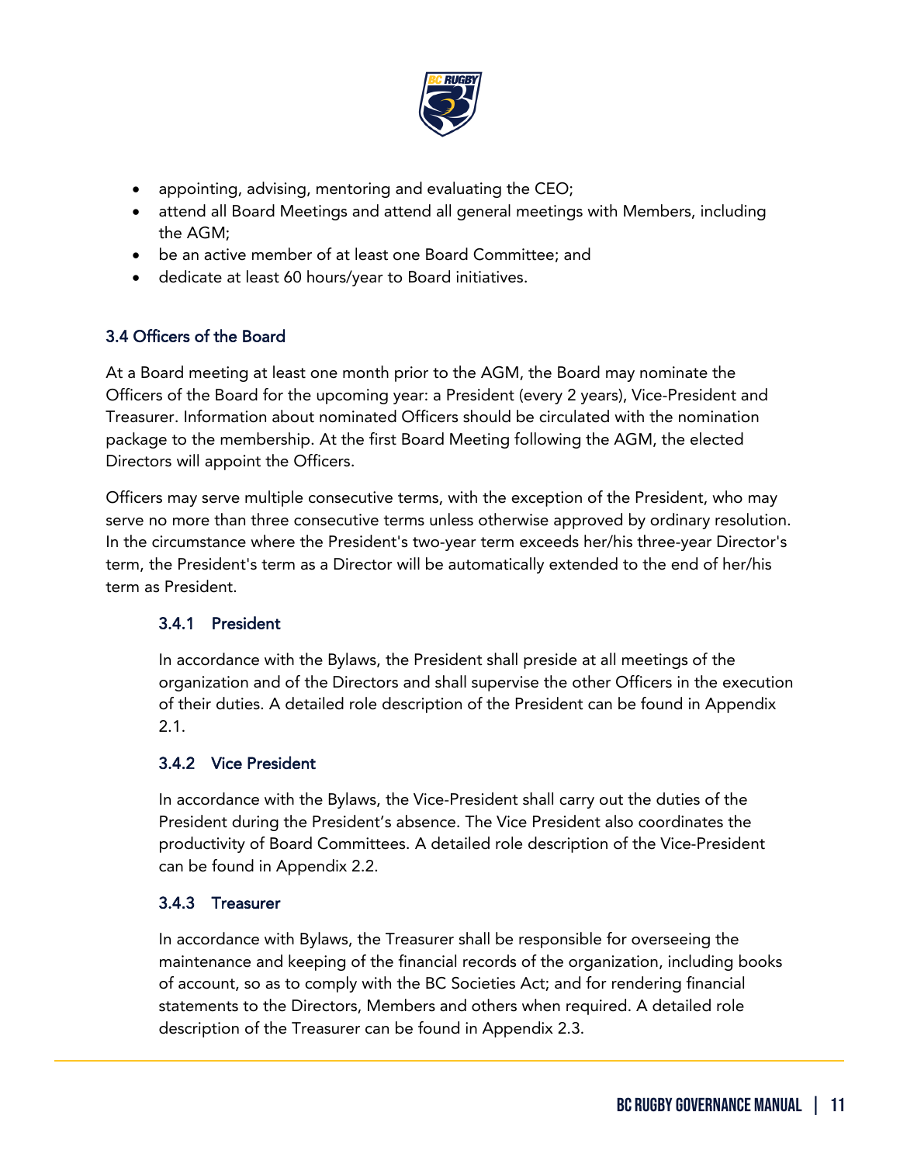

- appointing, advising, mentoring and evaluating the CEO;
- attend all Board Meetings and attend all general meetings with Members, including the AGM;
- be an active member of at least one Board Committee; and
- dedicate at least 60 hours/year to Board initiatives.

# 3.4 Officers of the Board

At a Board meeting at least one month prior to the AGM, the Board may nominate the Officers of the Board for the upcoming year: a President (every 2 years), Vice-President and Treasurer. Information about nominated Officers should be circulated with the nomination package to the membership. At the first Board Meeting following the AGM, the elected Directors will appoint the Officers.

Officers may serve multiple consecutive terms, with the exception of the President, who may serve no more than three consecutive terms unless otherwise approved by ordinary resolution. In the circumstance where the President's two-year term exceeds her/his three-year Director's term, the President's term as a Director will be automatically extended to the end of her/his term as President.

## 3.4.1 President

In accordance with the Bylaws, the President shall preside at all meetings of the organization and of the Directors and shall supervise the other Officers in the execution of their duties. A detailed role description of the President can be found in Appendix 2.1.

## 3.4.2 Vice President

In accordance with the Bylaws, the Vice-President shall carry out the duties of the President during the President's absence. The Vice President also coordinates the productivity of Board Committees. A detailed role description of the Vice-President can be found in Appendix 2.2.

## 3.4.3 Treasurer

ֺ

In accordance with Bylaws, the Treasurer shall be responsible for overseeing the maintenance and keeping of the financial records of the organization, including books of account, so as to comply with the BC Societies Act; and for rendering financial statements to the Directors, Members and others when required. A detailed role description of the Treasurer can be found in Appendix 2.3.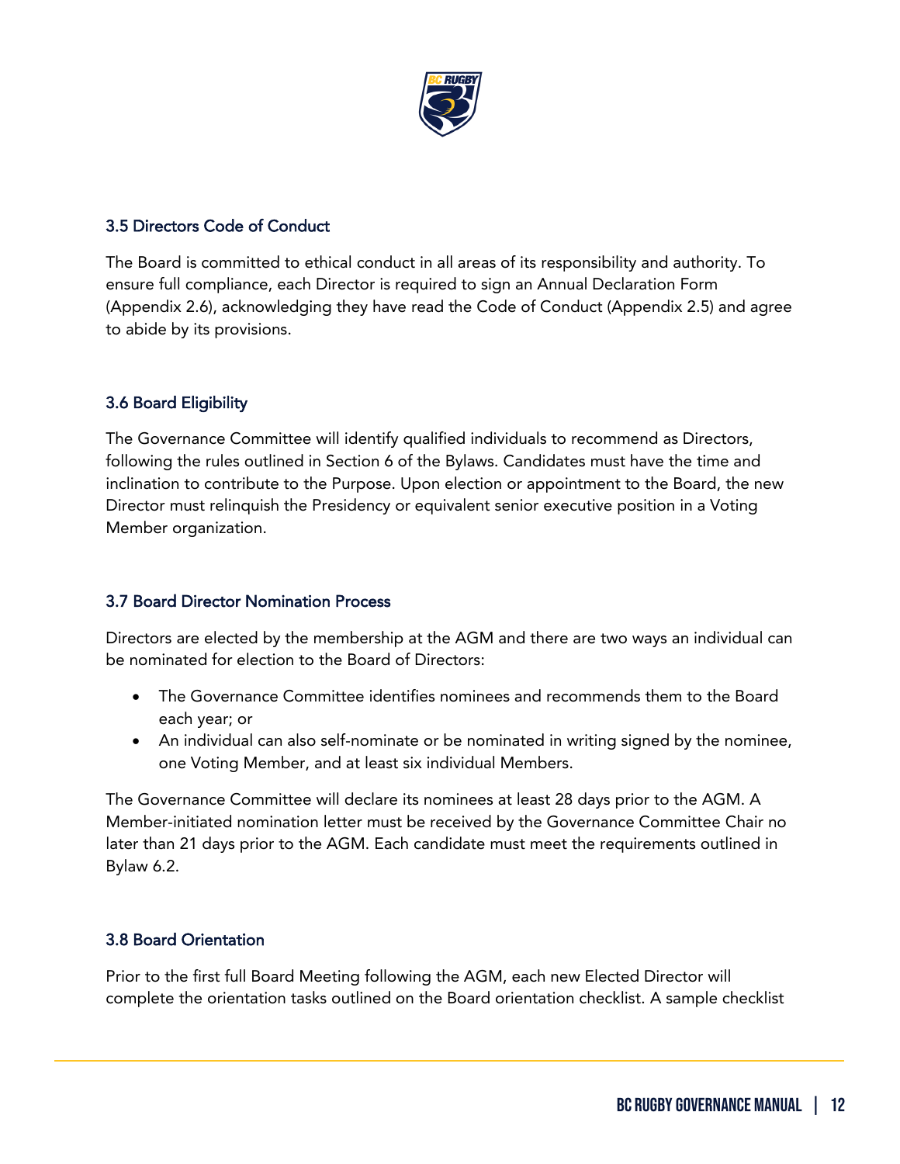

## 3.5 Directors Code of Conduct

The Board is committed to ethical conduct in all areas of its responsibility and authority. To ensure full compliance, each Director is required to sign an Annual Declaration Form (Appendix 2.6), acknowledging they have read the Code of Conduct (Appendix 2.5) and agree to abide by its provisions.

# 3.6 Board Eligibility

The Governance Committee will identify qualified individuals to recommend as Directors, following the rules outlined in Section 6 of the Bylaws. Candidates must have the time and inclination to contribute to the Purpose. Upon election or appointment to the Board, the new Director must relinquish the Presidency or equivalent senior executive position in a Voting Member organization.

## 3.7 Board Director Nomination Process

Directors are elected by the membership at the AGM and there are two ways an individual can be nominated for election to the Board of Directors:

- The Governance Committee identifies nominees and recommends them to the Board each year; or
- An individual can also self-nominate or be nominated in writing signed by the nominee, one Voting Member, and at least six individual Members.

The Governance Committee will declare its nominees at least 28 days prior to the AGM. A Member-initiated nomination letter must be received by the Governance Committee Chair no later than 21 days prior to the AGM. Each candidate must meet the requirements outlined in Bylaw 6.2.

# 3.8 Board Orientation

ֺ

Prior to the first full Board Meeting following the AGM, each new Elected Director will complete the orientation tasks outlined on the Board orientation checklist. A sample checklist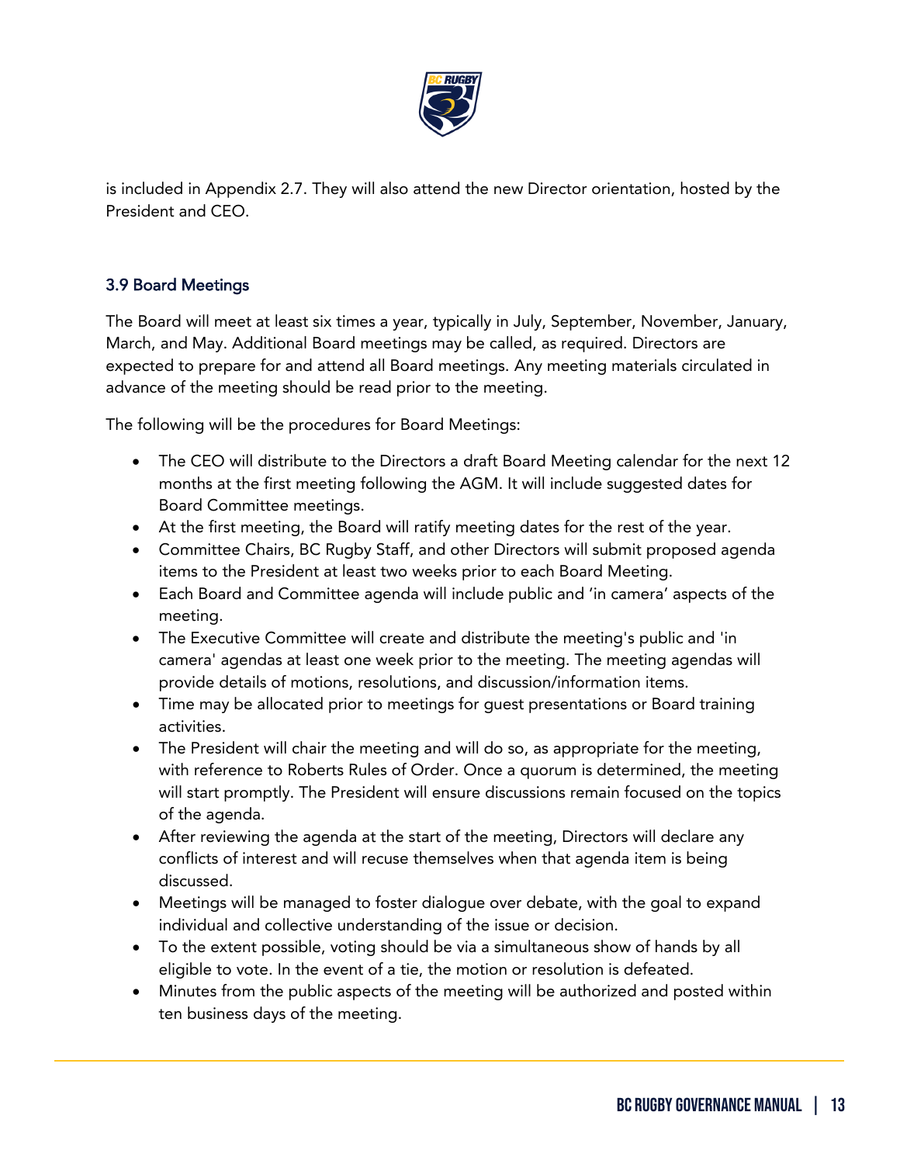

is included in Appendix 2.7. They will also attend the new Director orientation, hosted by the President and CEO.

# 3.9 Board Meetings

ֺ

The Board will meet at least six times a year, typically in July, September, November, January, March, and May. Additional Board meetings may be called, as required. Directors are expected to prepare for and attend all Board meetings. Any meeting materials circulated in advance of the meeting should be read prior to the meeting.

The following will be the procedures for Board Meetings:

- The CEO will distribute to the Directors a draft Board Meeting calendar for the next 12 months at the first meeting following the AGM. It will include suggested dates for Board Committee meetings.
- At the first meeting, the Board will ratify meeting dates for the rest of the year.
- Committee Chairs, BC Rugby Staff, and other Directors will submit proposed agenda items to the President at least two weeks prior to each Board Meeting.
- Each Board and Committee agenda will include public and 'in camera' aspects of the meeting.
- The Executive Committee will create and distribute the meeting's public and 'in camera' agendas at least one week prior to the meeting. The meeting agendas will provide details of motions, resolutions, and discussion/information items.
- Time may be allocated prior to meetings for guest presentations or Board training activities.
- The President will chair the meeting and will do so, as appropriate for the meeting, with reference to Roberts Rules of Order. Once a quorum is determined, the meeting will start promptly. The President will ensure discussions remain focused on the topics of the agenda.
- After reviewing the agenda at the start of the meeting, Directors will declare any conflicts of interest and will recuse themselves when that agenda item is being discussed.
- Meetings will be managed to foster dialogue over debate, with the goal to expand individual and collective understanding of the issue or decision.
- To the extent possible, voting should be via a simultaneous show of hands by all eligible to vote. In the event of a tie, the motion or resolution is defeated.
- Minutes from the public aspects of the meeting will be authorized and posted within ten business days of the meeting.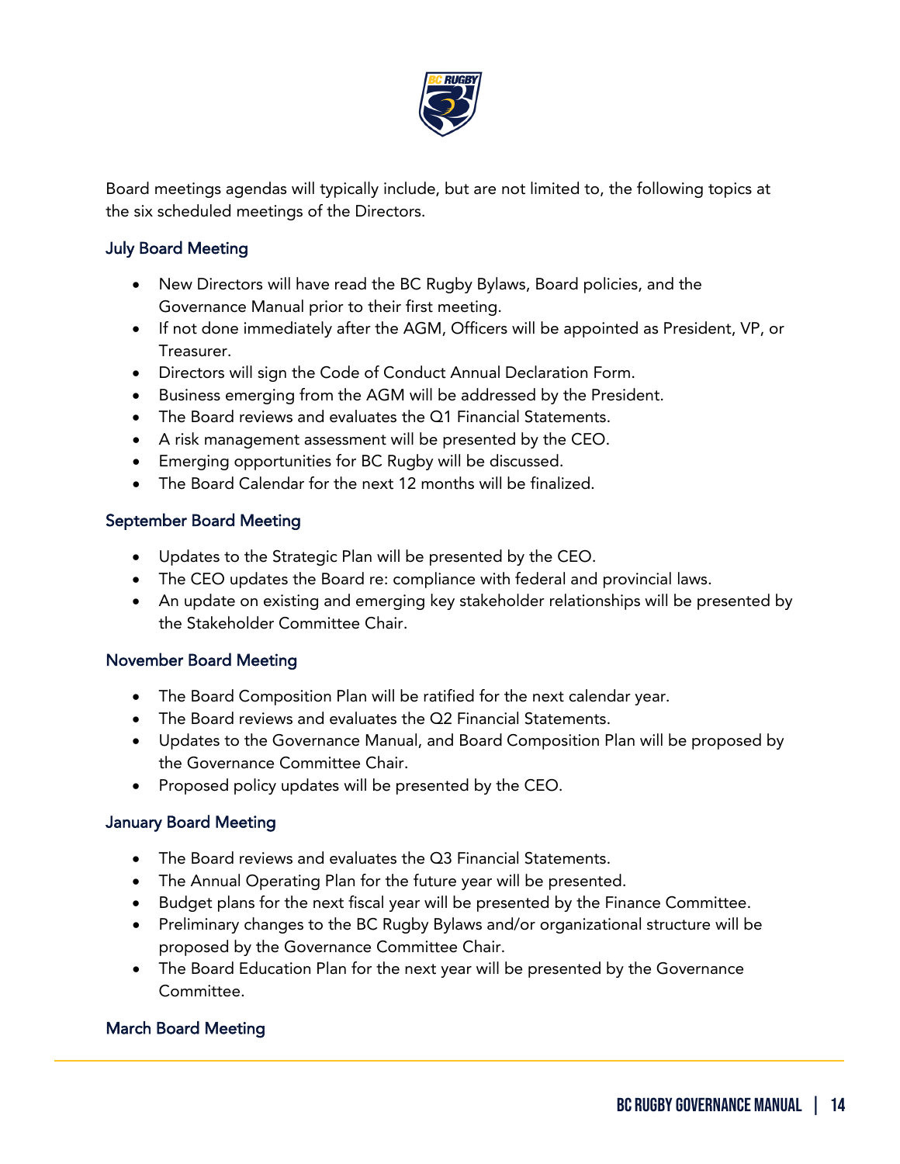

Board meetings agendas will typically include, but are not limited to, the following topics at the six scheduled meetings of the Directors.

# July Board Meeting

- New Directors will have read the BC Rugby Bylaws, Board policies, and the Governance Manual prior to their first meeting.
- If not done immediately after the AGM, Officers will be appointed as President, VP, or Treasurer.
- Directors will sign the Code of Conduct Annual Declaration Form.
- Business emerging from the AGM will be addressed by the President.
- The Board reviews and evaluates the Q1 Financial Statements.
- A risk management assessment will be presented by the CEO.
- Emerging opportunities for BC Rugby will be discussed.
- The Board Calendar for the next 12 months will be finalized.

# September Board Meeting

- Updates to the Strategic Plan will be presented by the CEO.
- The CEO updates the Board re: compliance with federal and provincial laws.
- An update on existing and emerging key stakeholder relationships will be presented by the Stakeholder Committee Chair.

## November Board Meeting

- The Board Composition Plan will be ratified for the next calendar year.
- The Board reviews and evaluates the Q2 Financial Statements.
- Updates to the Governance Manual, and Board Composition Plan will be proposed by the Governance Committee Chair.
- Proposed policy updates will be presented by the CEO.

# January Board Meeting

- The Board reviews and evaluates the Q3 Financial Statements.
- The Annual Operating Plan for the future year will be presented.
- Budget plans for the next fiscal year will be presented by the Finance Committee.
- Preliminary changes to the BC Rugby Bylaws and/or organizational structure will be proposed by the Governance Committee Chair.
- The Board Education Plan for the next year will be presented by the Governance Committee.

# March Board Meeting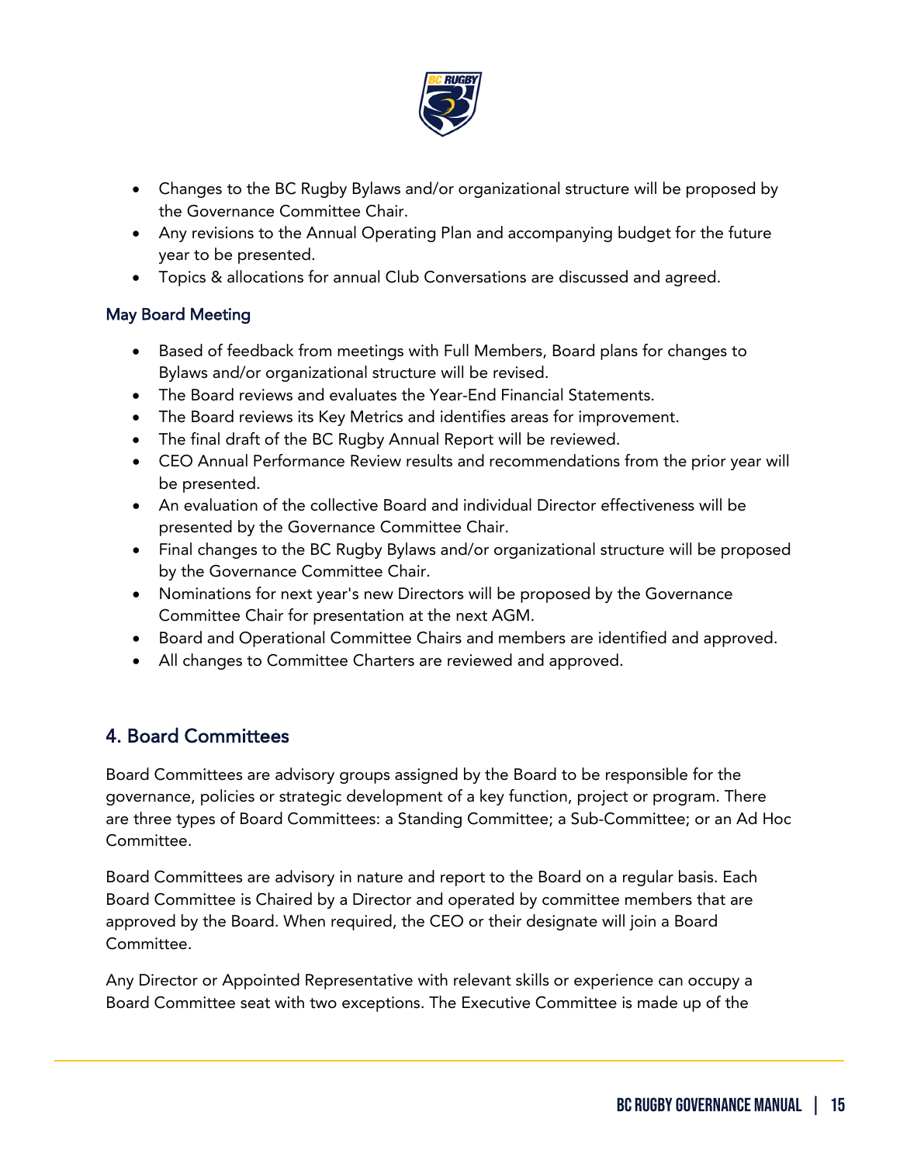

- Changes to the BC Rugby Bylaws and/or organizational structure will be proposed by the Governance Committee Chair.
- Any revisions to the Annual Operating Plan and accompanying budget for the future year to be presented.
- Topics & allocations for annual Club Conversations are discussed and agreed.

# May Board Meeting

- Based of feedback from meetings with Full Members, Board plans for changes to Bylaws and/or organizational structure will be revised.
- The Board reviews and evaluates the Year-End Financial Statements.
- The Board reviews its Key Metrics and identifies areas for improvement.
- The final draft of the BC Rugby Annual Report will be reviewed.
- CEO Annual Performance Review results and recommendations from the prior year will be presented.
- An evaluation of the collective Board and individual Director effectiveness will be presented by the Governance Committee Chair.
- Final changes to the BC Rugby Bylaws and/or organizational structure will be proposed by the Governance Committee Chair.
- Nominations for next year's new Directors will be proposed by the Governance Committee Chair for presentation at the next AGM.
- Board and Operational Committee Chairs and members are identified and approved.
- All changes to Committee Charters are reviewed and approved.

# <span id="page-14-0"></span>4. Board Committees

ֺ

Board Committees are advisory groups assigned by the Board to be responsible for the governance, policies or strategic development of a key function, project or program. There are three types of Board Committees: a Standing Committee; a Sub-Committee; or an Ad Hoc Committee.

Board Committees are advisory in nature and report to the Board on a regular basis. Each Board Committee is Chaired by a Director and operated by committee members that are approved by the Board. When required, the CEO or their designate will join a Board Committee.

Any Director or Appointed Representative with relevant skills or experience can occupy a Board Committee seat with two exceptions. The Executive Committee is made up of the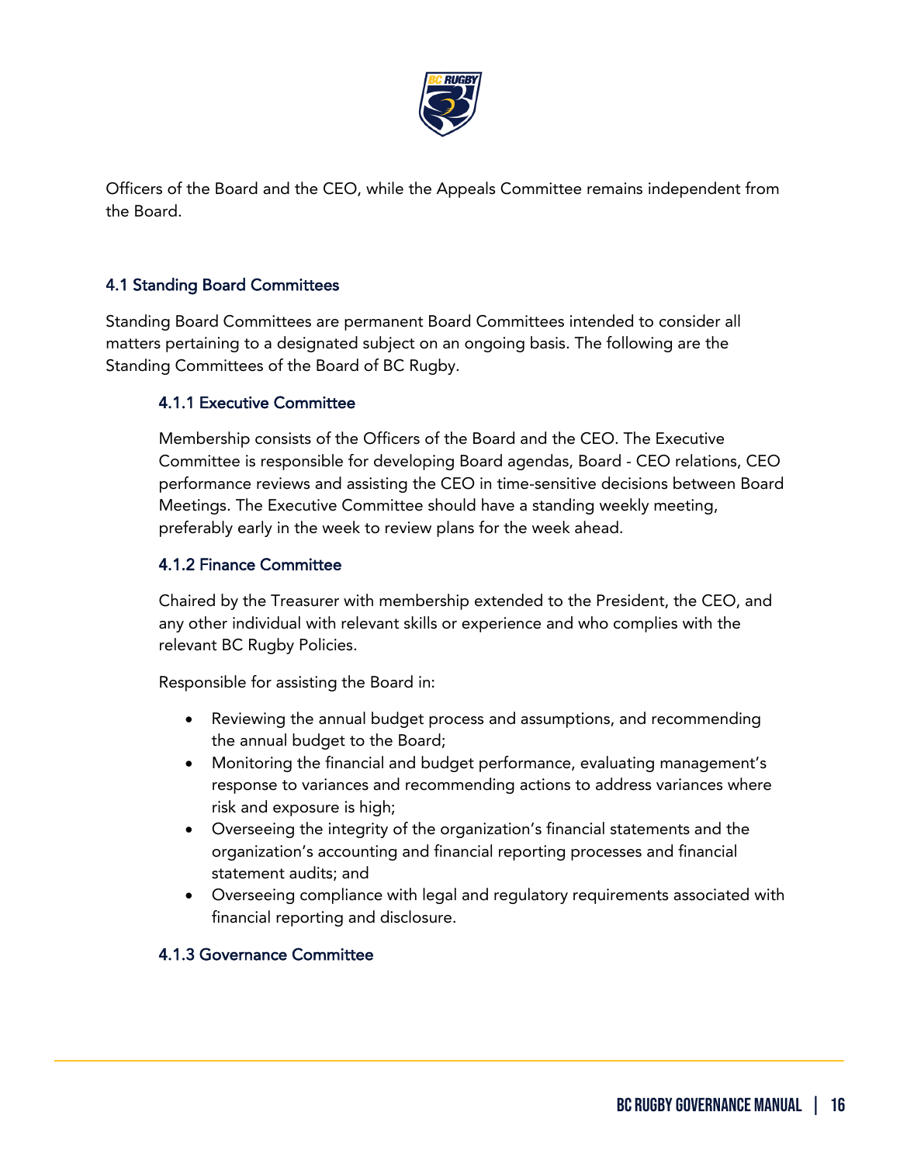

Officers of the Board and the CEO, while the Appeals Committee remains independent from the Board.

# 4.1 Standing Board Committees

Standing Board Committees are permanent Board Committees intended to consider all matters pertaining to a designated subject on an ongoing basis. The following are the Standing Committees of the Board of BC Rugby.

## 4.1.1 Executive Committee

Membership consists of the Officers of the Board and the CEO. The Executive Committee is responsible for developing Board agendas, Board - CEO relations, CEO performance reviews and assisting the CEO in time-sensitive decisions between Board Meetings. The Executive Committee should have a standing weekly meeting, preferably early in the week to review plans for the week ahead.

#### 4.1.2 Finance Committee

Chaired by the Treasurer with membership extended to the President, the CEO, and any other individual with relevant skills or experience and who complies with the relevant BC Rugby Policies.

Responsible for assisting the Board in:

- Reviewing the annual budget process and assumptions, and recommending the annual budget to the Board;
- Monitoring the financial and budget performance, evaluating management's response to variances and recommending actions to address variances where risk and exposure is high;
- Overseeing the integrity of the organization's financial statements and the organization's accounting and financial reporting processes and financial statement audits; and
- Overseeing compliance with legal and regulatory requirements associated with financial reporting and disclosure.

## 4.1.3 Governance Committee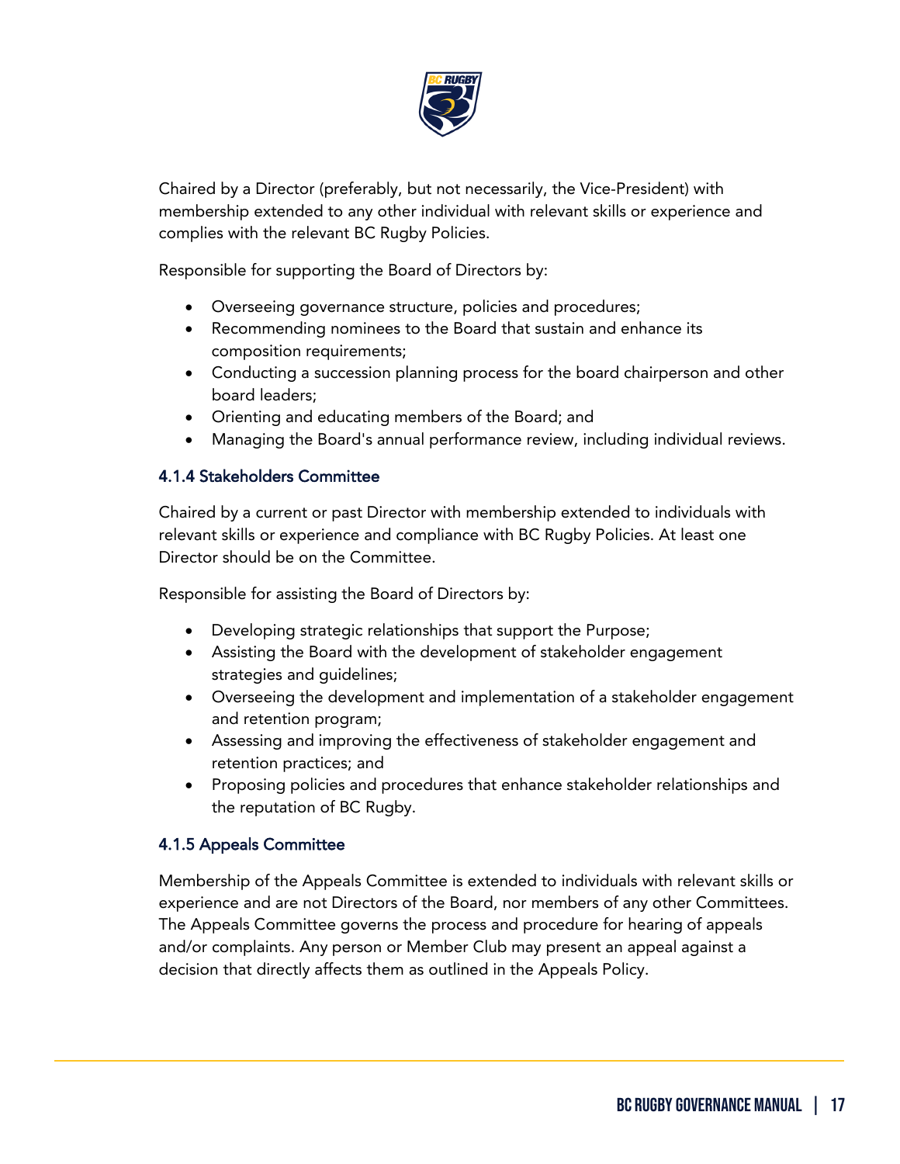

Chaired by a Director (preferably, but not necessarily, the Vice-President) with membership extended to any other individual with relevant skills or experience and complies with the relevant BC Rugby Policies.

Responsible for supporting the Board of Directors by:

- Overseeing governance structure, policies and procedures;
- Recommending nominees to the Board that sustain and enhance its composition requirements;
- Conducting a succession planning process for the board chairperson and other board leaders;
- Orienting and educating members of the Board; and
- Managing the Board's annual performance review, including individual reviews.

#### 4.1.4 Stakeholders Committee

Chaired by a current or past Director with membership extended to individuals with relevant skills or experience and compliance with BC Rugby Policies. At least one Director should be on the Committee.

Responsible for assisting the Board of Directors by:

- Developing strategic relationships that support the Purpose;
- Assisting the Board with the development of stakeholder engagement strategies and guidelines;
- Overseeing the development and implementation of a stakeholder engagement and retention program;
- Assessing and improving the effectiveness of stakeholder engagement and retention practices; and
- Proposing policies and procedures that enhance stakeholder relationships and the reputation of BC Rugby.

## 4.1.5 Appeals Committee

ֺ

Membership of the Appeals Committee is extended to individuals with relevant skills or experience and are not Directors of the Board, nor members of any other Committees. The Appeals Committee governs the process and procedure for hearing of appeals and/or complaints. Any person or Member Club may present an appeal against a decision that directly affects them as outlined in the Appeals Policy.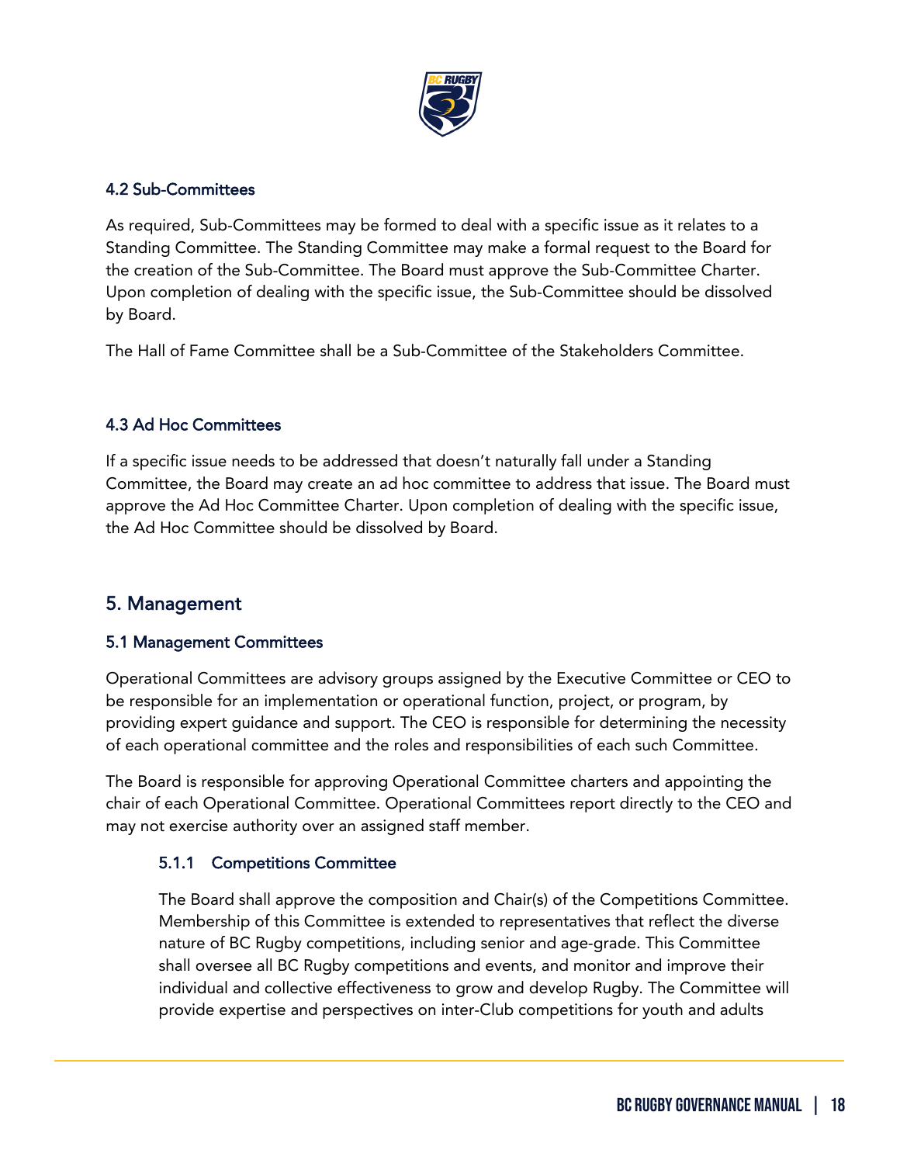

## 4.2 Sub-Committees

As required, Sub-Committees may be formed to deal with a specific issue as it relates to a Standing Committee. The Standing Committee may make a formal request to the Board for the creation of the Sub-Committee. The Board must approve the Sub-Committee Charter. Upon completion of dealing with the specific issue, the Sub-Committee should be dissolved by Board.

The Hall of Fame Committee shall be a Sub-Committee of the Stakeholders Committee.

## 4.3 Ad Hoc Committees

If a specific issue needs to be addressed that doesn't naturally fall under a Standing Committee, the Board may create an ad hoc committee to address that issue. The Board must approve the Ad Hoc Committee Charter. Upon completion of dealing with the specific issue, the Ad Hoc Committee should be dissolved by Board.

# <span id="page-17-0"></span>5. Management

ֺ

## 5.1 Management Committees

Operational Committees are advisory groups assigned by the Executive Committee or CEO to be responsible for an implementation or operational function, project, or program, by providing expert guidance and support. The CEO is responsible for determining the necessity of each operational committee and the roles and responsibilities of each such Committee.

The Board is responsible for approving Operational Committee charters and appointing the chair of each Operational Committee. Operational Committees report directly to the CEO and may not exercise authority over an assigned staff member.

## 5.1.1 Competitions Committee

The Board shall approve the composition and Chair(s) of the Competitions Committee. Membership of this Committee is extended to representatives that reflect the diverse nature of BC Rugby competitions, including senior and age-grade. This Committee shall oversee all BC Rugby competitions and events, and monitor and improve their individual and collective effectiveness to grow and develop Rugby. The Committee will provide expertise and perspectives on inter-Club competitions for youth and adults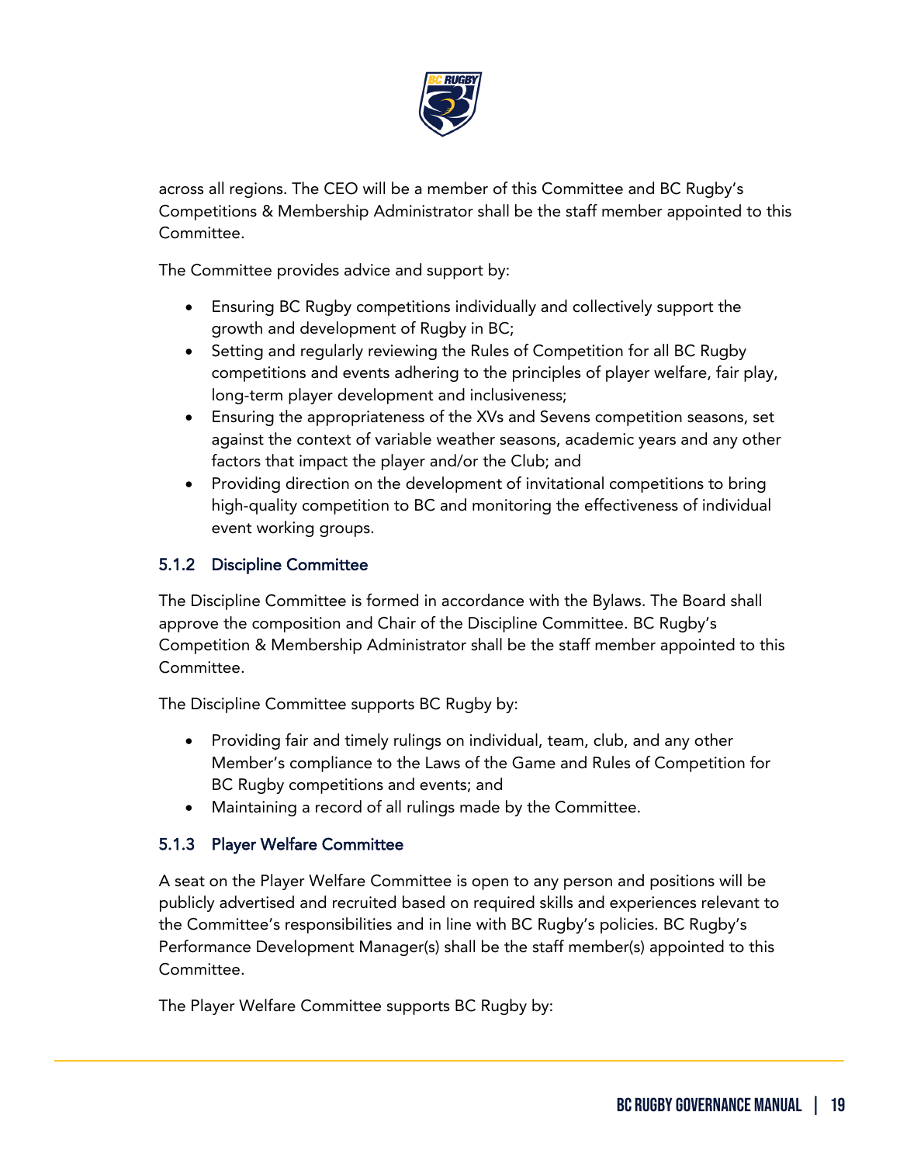

across all regions. The CEO will be a member of this Committee and BC Rugby's Competitions & Membership Administrator shall be the staff member appointed to this Committee.

The Committee provides advice and support by:

- Ensuring BC Rugby competitions individually and collectively support the growth and development of Rugby in BC;
- Setting and regularly reviewing the Rules of Competition for all BC Rugby competitions and events adhering to the principles of player welfare, fair play, long-term player development and inclusiveness;
- Ensuring the appropriateness of the XVs and Sevens competition seasons, set against the context of variable weather seasons, academic years and any other factors that impact the player and/or the Club; and
- Providing direction on the development of invitational competitions to bring high-quality competition to BC and monitoring the effectiveness of individual event working groups.

# 5.1.2 Discipline Committee

The Discipline Committee is formed in accordance with the Bylaws. The Board shall approve the composition and Chair of the Discipline Committee. BC Rugby's Competition & Membership Administrator shall be the staff member appointed to this Committee.

The Discipline Committee supports BC Rugby by:

- Providing fair and timely rulings on individual, team, club, and any other Member's compliance to the Laws of the Game and Rules of Competition for BC Rugby competitions and events; and
- Maintaining a record of all rulings made by the Committee.

# 5.1.3 Player Welfare Committee

ֺ

A seat on the Player Welfare Committee is open to any person and positions will be publicly advertised and recruited based on required skills and experiences relevant to the Committee's responsibilities and in line with BC Rugby's policies. BC Rugby's Performance Development Manager(s) shall be the staff member(s) appointed to this Committee.

The Player Welfare Committee supports BC Rugby by: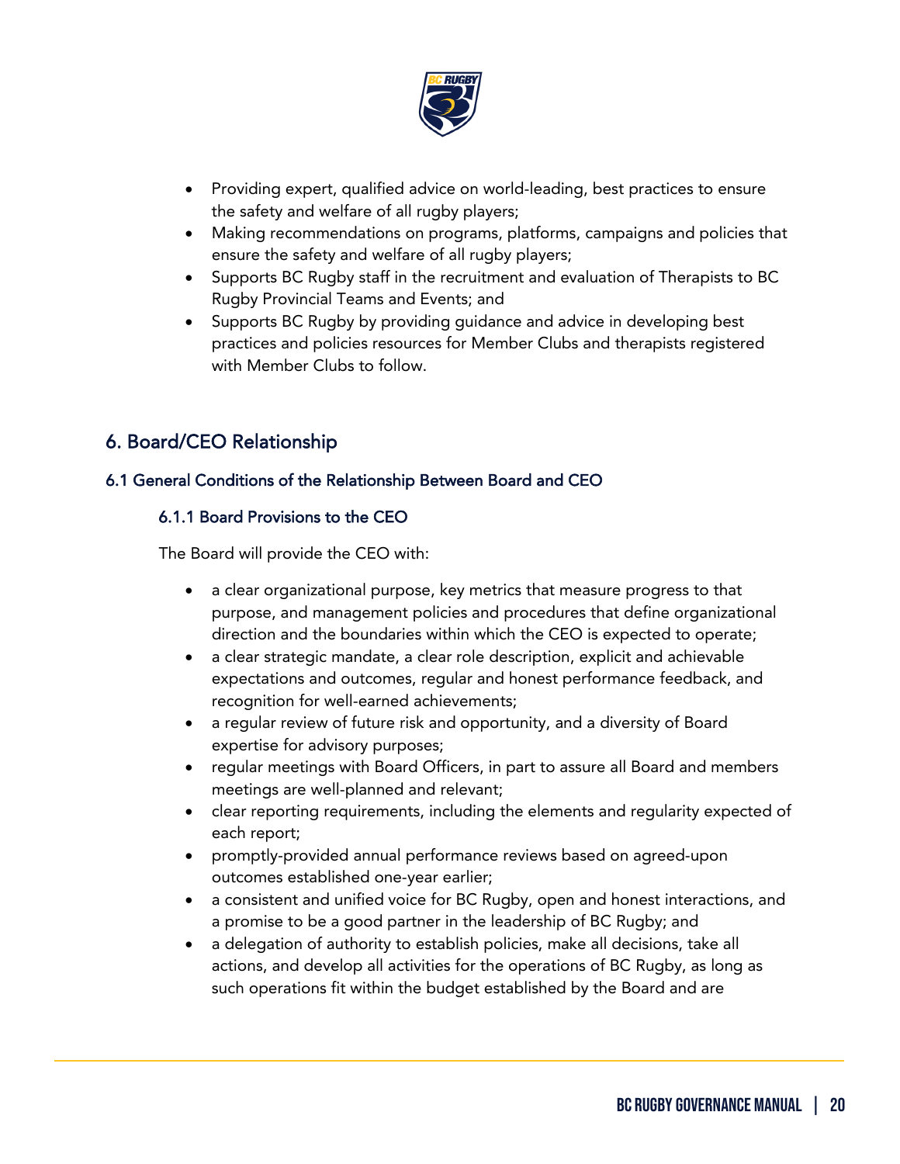

- Providing expert, qualified advice on world-leading, best practices to ensure the safety and welfare of all rugby players;
- Making recommendations on programs, platforms, campaigns and policies that ensure the safety and welfare of all rugby players;
- Supports BC Rugby staff in the recruitment and evaluation of Therapists to BC Rugby Provincial Teams and Events; and
- Supports BC Rugby by providing guidance and advice in developing best practices and policies resources for Member Clubs and therapists registered with Member Clubs to follow.

# <span id="page-19-0"></span>6. Board/CEO Relationship

ֺ

# 6.1 General Conditions of the Relationship Between Board and CEO

## 6.1.1 Board Provisions to the CEO

The Board will provide the CEO with:

- a clear organizational purpose, key metrics that measure progress to that purpose, and management policies and procedures that define organizational direction and the boundaries within which the CEO is expected to operate;
- a clear strategic mandate, a clear role description, explicit and achievable expectations and outcomes, regular and honest performance feedback, and recognition for well-earned achievements;
- a regular review of future risk and opportunity, and a diversity of Board expertise for advisory purposes;
- regular meetings with Board Officers, in part to assure all Board and members meetings are well-planned and relevant;
- clear reporting requirements, including the elements and regularity expected of each report;
- promptly-provided annual performance reviews based on agreed-upon outcomes established one-year earlier;
- a consistent and unified voice for BC Rugby, open and honest interactions, and a promise to be a good partner in the leadership of BC Rugby; and
- a delegation of authority to establish policies, make all decisions, take all actions, and develop all activities for the operations of BC Rugby, as long as such operations fit within the budget established by the Board and are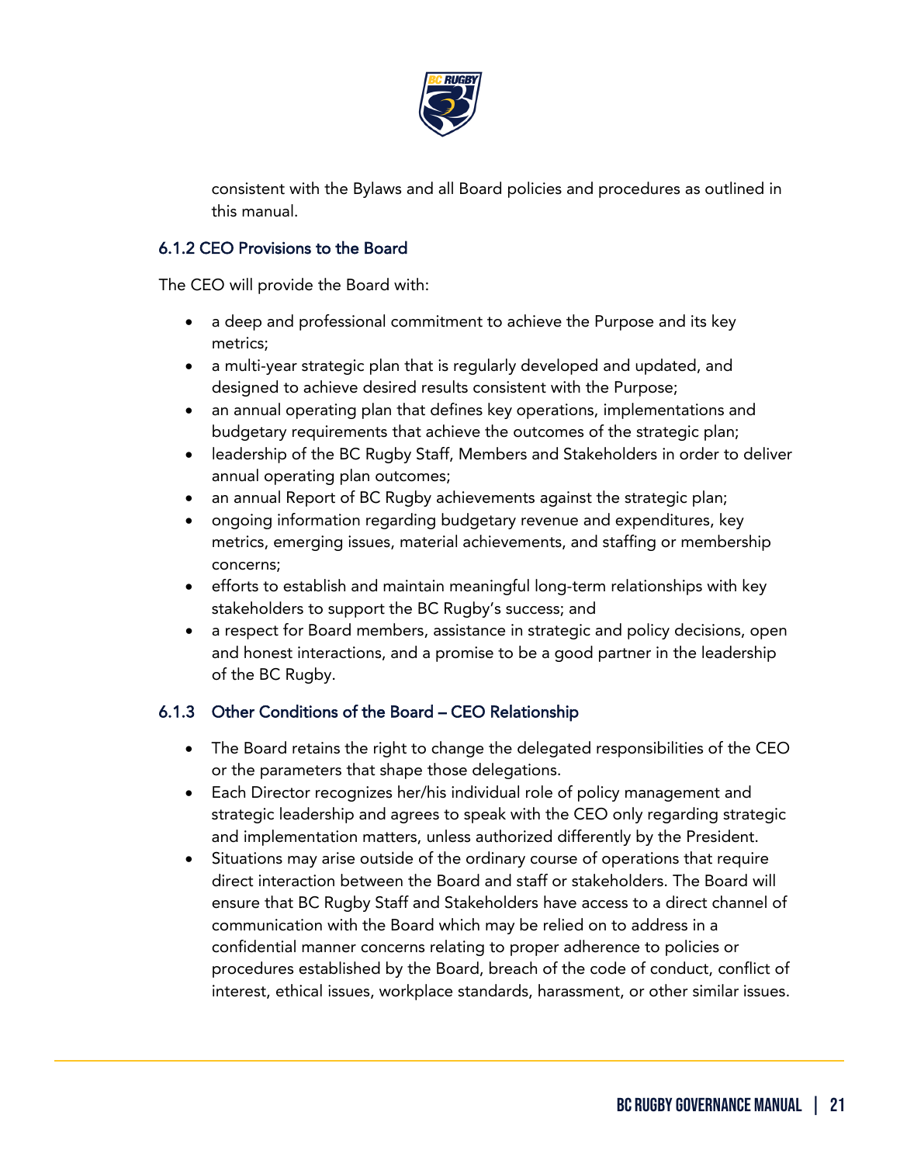

consistent with the Bylaws and all Board policies and procedures as outlined in this manual.

# 6.1.2 CEO Provisions to the Board

The CEO will provide the Board with:

- a deep and professional commitment to achieve the Purpose and its key metrics;
- a multi-year strategic plan that is regularly developed and updated, and designed to achieve desired results consistent with the Purpose;
- an annual operating plan that defines key operations, implementations and budgetary requirements that achieve the outcomes of the strategic plan;
- leadership of the BC Rugby Staff, Members and Stakeholders in order to deliver annual operating plan outcomes;
- an annual Report of BC Rugby achievements against the strategic plan;
- ongoing information regarding budgetary revenue and expenditures, key metrics, emerging issues, material achievements, and staffing or membership concerns;
- efforts to establish and maintain meaningful long-term relationships with key stakeholders to support the BC Rugby's success; and
- a respect for Board members, assistance in strategic and policy decisions, open and honest interactions, and a promise to be a good partner in the leadership of the BC Rugby.

# 6.1.3 Other Conditions of the Board – CEO Relationship

- The Board retains the right to change the delegated responsibilities of the CEO or the parameters that shape those delegations.
- Each Director recognizes her/his individual role of policy management and strategic leadership and agrees to speak with the CEO only regarding strategic and implementation matters, unless authorized differently by the President.
- Situations may arise outside of the ordinary course of operations that require direct interaction between the Board and staff or stakeholders. The Board will ensure that BC Rugby Staff and Stakeholders have access to a direct channel of communication with the Board which may be relied on to address in a confidential manner concerns relating to proper adherence to policies or procedures established by the Board, breach of the code of conduct, conflict of interest, ethical issues, workplace standards, harassment, or other similar issues.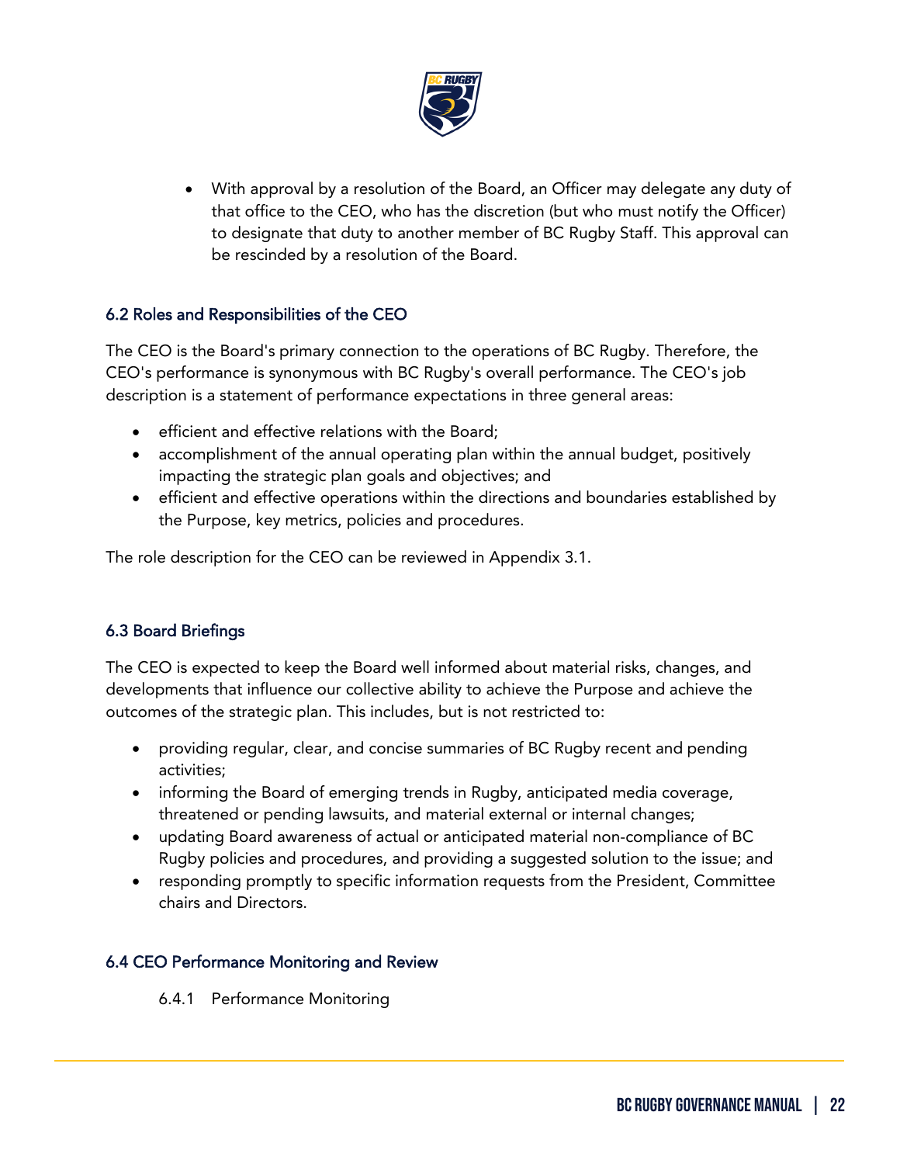

• With approval by a resolution of the Board, an Officer may delegate any duty of that office to the CEO, who has the discretion (but who must notify the Officer) to designate that duty to another member of BC Rugby Staff. This approval can be rescinded by a resolution of the Board.

# 6.2 Roles and Responsibilities of the CEO

The CEO is the Board's primary connection to the operations of BC Rugby. Therefore, the CEO's performance is synonymous with BC Rugby's overall performance. The CEO's job description is a statement of performance expectations in three general areas:

- efficient and effective relations with the Board;
- accomplishment of the annual operating plan within the annual budget, positively impacting the strategic plan goals and objectives; and
- efficient and effective operations within the directions and boundaries established by the Purpose, key metrics, policies and procedures.

The role description for the CEO can be reviewed in Appendix 3.1.

# 6.3 Board Briefings

ֺ

The CEO is expected to keep the Board well informed about material risks, changes, and developments that influence our collective ability to achieve the Purpose and achieve the outcomes of the strategic plan. This includes, but is not restricted to:

- providing regular, clear, and concise summaries of BC Rugby recent and pending activities;
- informing the Board of emerging trends in Rugby, anticipated media coverage, threatened or pending lawsuits, and material external or internal changes;
- updating Board awareness of actual or anticipated material non-compliance of BC Rugby policies and procedures, and providing a suggested solution to the issue; and
- responding promptly to specific information requests from the President, Committee chairs and Directors.

## 6.4 CEO Performance Monitoring and Review

6.4.1 Performance Monitoring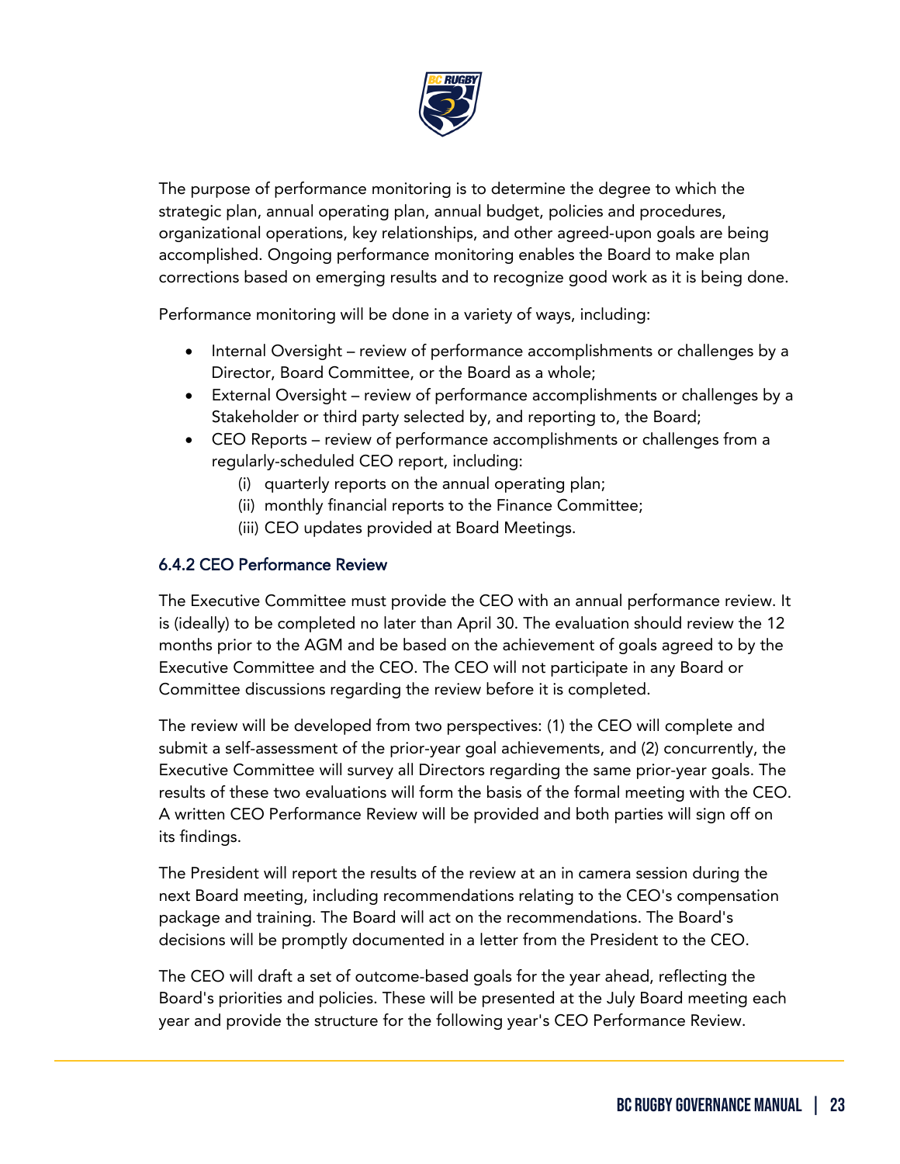

The purpose of performance monitoring is to determine the degree to which the strategic plan, annual operating plan, annual budget, policies and procedures, organizational operations, key relationships, and other agreed-upon goals are being accomplished. Ongoing performance monitoring enables the Board to make plan corrections based on emerging results and to recognize good work as it is being done.

Performance monitoring will be done in a variety of ways, including:

- Internal Oversight review of performance accomplishments or challenges by a Director, Board Committee, or the Board as a whole;
- External Oversight review of performance accomplishments or challenges by a Stakeholder or third party selected by, and reporting to, the Board;
- CEO Reports review of performance accomplishments or challenges from a regularly-scheduled CEO report, including:
	- (i) quarterly reports on the annual operating plan;
	- (ii) monthly financial reports to the Finance Committee;
	- (iii) CEO updates provided at Board Meetings.

# 6.4.2 CEO Performance Review

ֺ

The Executive Committee must provide the CEO with an annual performance review. It is (ideally) to be completed no later than April 30. The evaluation should review the 12 months prior to the AGM and be based on the achievement of goals agreed to by the Executive Committee and the CEO. The CEO will not participate in any Board or Committee discussions regarding the review before it is completed.

The review will be developed from two perspectives: (1) the CEO will complete and submit a self-assessment of the prior-year goal achievements, and (2) concurrently, the Executive Committee will survey all Directors regarding the same prior-year goals. The results of these two evaluations will form the basis of the formal meeting with the CEO. A written CEO Performance Review will be provided and both parties will sign off on its findings.

The President will report the results of the review at an in camera session during the next Board meeting, including recommendations relating to the CEO's compensation package and training. The Board will act on the recommendations. The Board's decisions will be promptly documented in a letter from the President to the CEO.

The CEO will draft a set of outcome-based goals for the year ahead, reflecting the Board's priorities and policies. These will be presented at the July Board meeting each year and provide the structure for the following year's CEO Performance Review.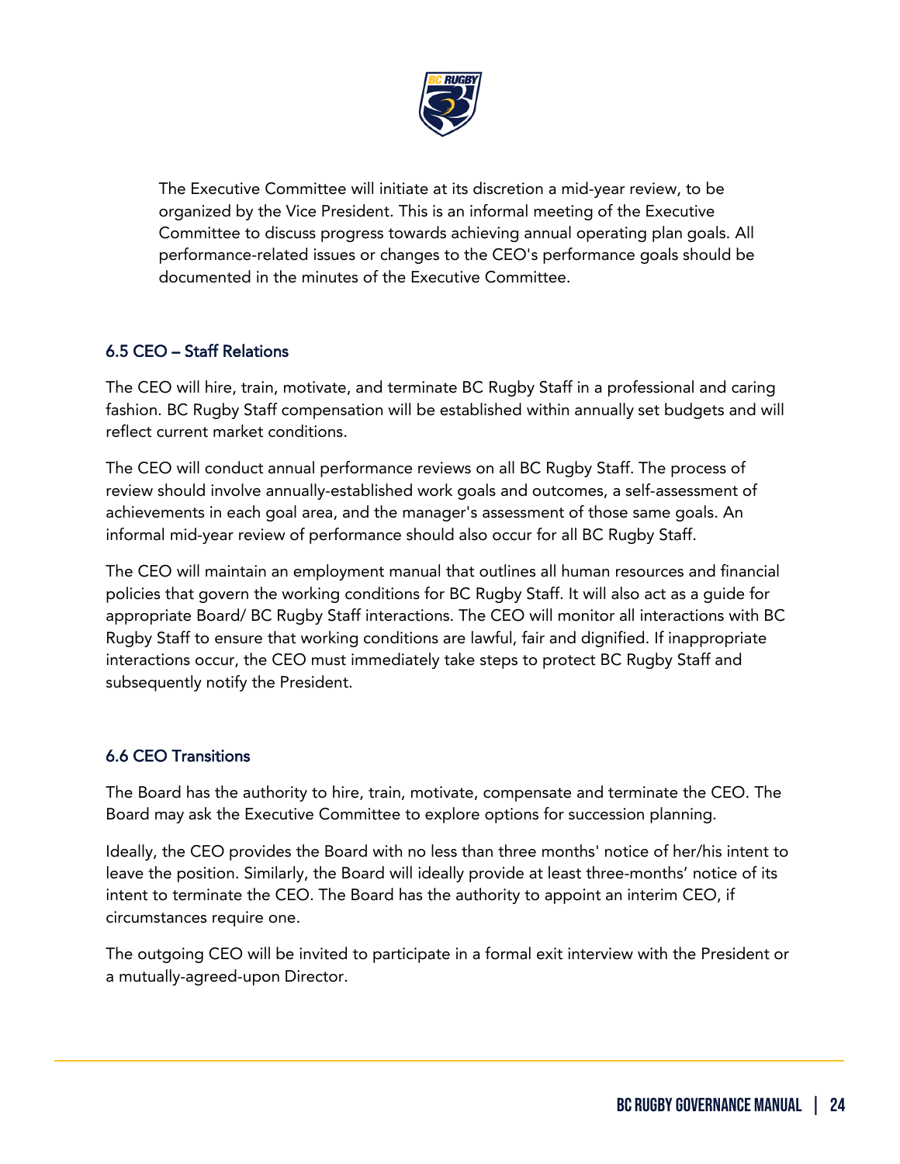

The Executive Committee will initiate at its discretion a mid-year review, to be organized by the Vice President. This is an informal meeting of the Executive Committee to discuss progress towards achieving annual operating plan goals. All performance-related issues or changes to the CEO's performance goals should be documented in the minutes of the Executive Committee.

# 6.5 CEO – Staff Relations

The CEO will hire, train, motivate, and terminate BC Rugby Staff in a professional and caring fashion. BC Rugby Staff compensation will be established within annually set budgets and will reflect current market conditions.

The CEO will conduct annual performance reviews on all BC Rugby Staff. The process of review should involve annually-established work goals and outcomes, a self-assessment of achievements in each goal area, and the manager's assessment of those same goals. An informal mid-year review of performance should also occur for all BC Rugby Staff.

The CEO will maintain an employment manual that outlines all human resources and financial policies that govern the working conditions for BC Rugby Staff. It will also act as a guide for appropriate Board/ BC Rugby Staff interactions. The CEO will monitor all interactions with BC Rugby Staff to ensure that working conditions are lawful, fair and dignified. If inappropriate interactions occur, the CEO must immediately take steps to protect BC Rugby Staff and subsequently notify the President.

# 6.6 CEO Transitions

ֺ

The Board has the authority to hire, train, motivate, compensate and terminate the CEO. The Board may ask the Executive Committee to explore options for succession planning.

Ideally, the CEO provides the Board with no less than three months' notice of her/his intent to leave the position. Similarly, the Board will ideally provide at least three-months' notice of its intent to terminate the CEO. The Board has the authority to appoint an interim CEO, if circumstances require one.

The outgoing CEO will be invited to participate in a formal exit interview with the President or a mutually-agreed-upon Director.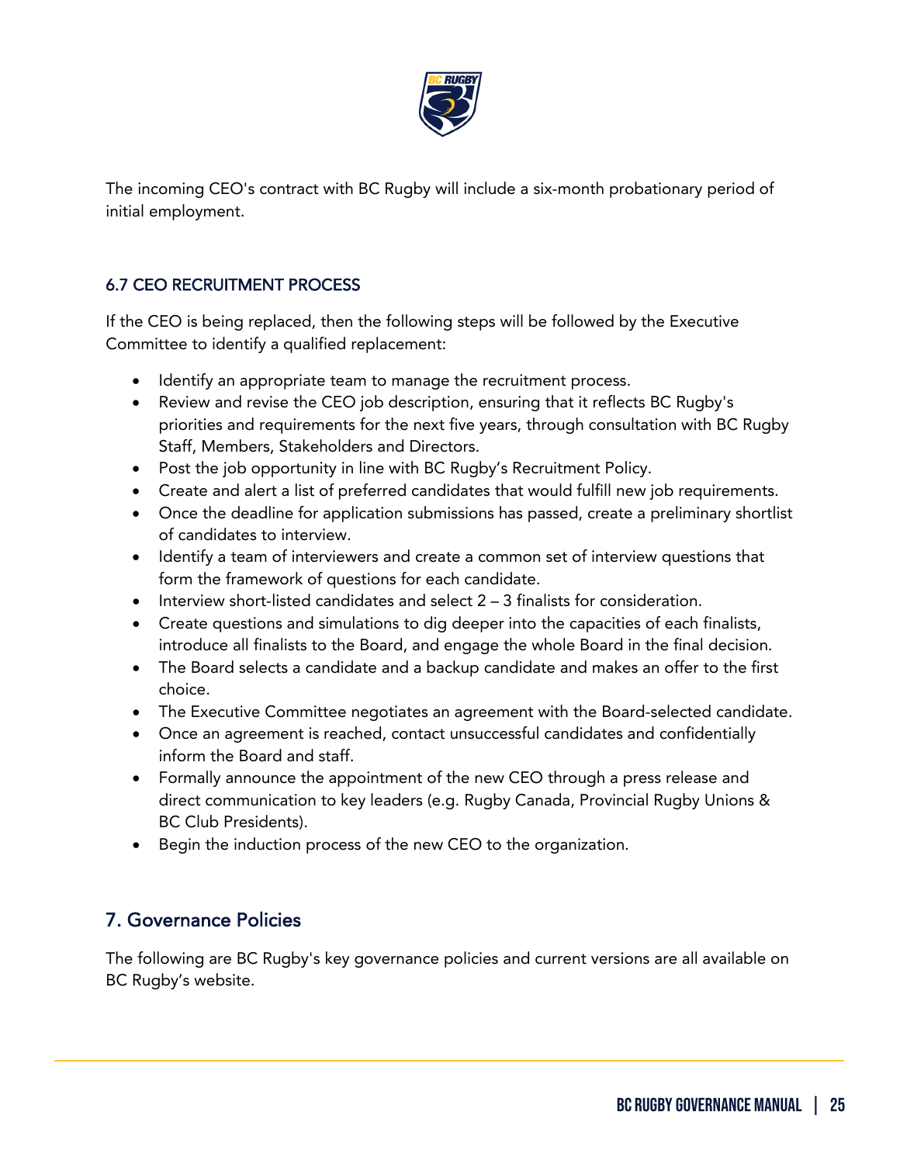

The incoming CEO's contract with BC Rugby will include a six-month probationary period of initial employment.

# 6.7 CEO RECRUITMENT PROCESS

If the CEO is being replaced, then the following steps will be followed by the Executive Committee to identify a qualified replacement:

- Identify an appropriate team to manage the recruitment process.
- Review and revise the CEO job description, ensuring that it reflects BC Rugby's priorities and requirements for the next five years, through consultation with BC Rugby Staff, Members, Stakeholders and Directors.
- Post the job opportunity in line with BC Rugby's Recruitment Policy.
- Create and alert a list of preferred candidates that would fulfill new job requirements.
- Once the deadline for application submissions has passed, create a preliminary shortlist of candidates to interview.
- Identify a team of interviewers and create a common set of interview questions that form the framework of questions for each candidate.
- Interview short-listed candidates and select  $2 3$  finalists for consideration.
- Create questions and simulations to dig deeper into the capacities of each finalists, introduce all finalists to the Board, and engage the whole Board in the final decision.
- The Board selects a candidate and a backup candidate and makes an offer to the first choice.
- The Executive Committee negotiates an agreement with the Board-selected candidate.
- Once an agreement is reached, contact unsuccessful candidates and confidentially inform the Board and staff.
- Formally announce the appointment of the new CEO through a press release and direct communication to key leaders (e.g. Rugby Canada, Provincial Rugby Unions & BC Club Presidents).
- Begin the induction process of the new CEO to the organization.

# <span id="page-24-0"></span>7. Governance Policies

ֺ

The following are BC Rugby's key governance policies and current versions are all available on BC Rugby's website.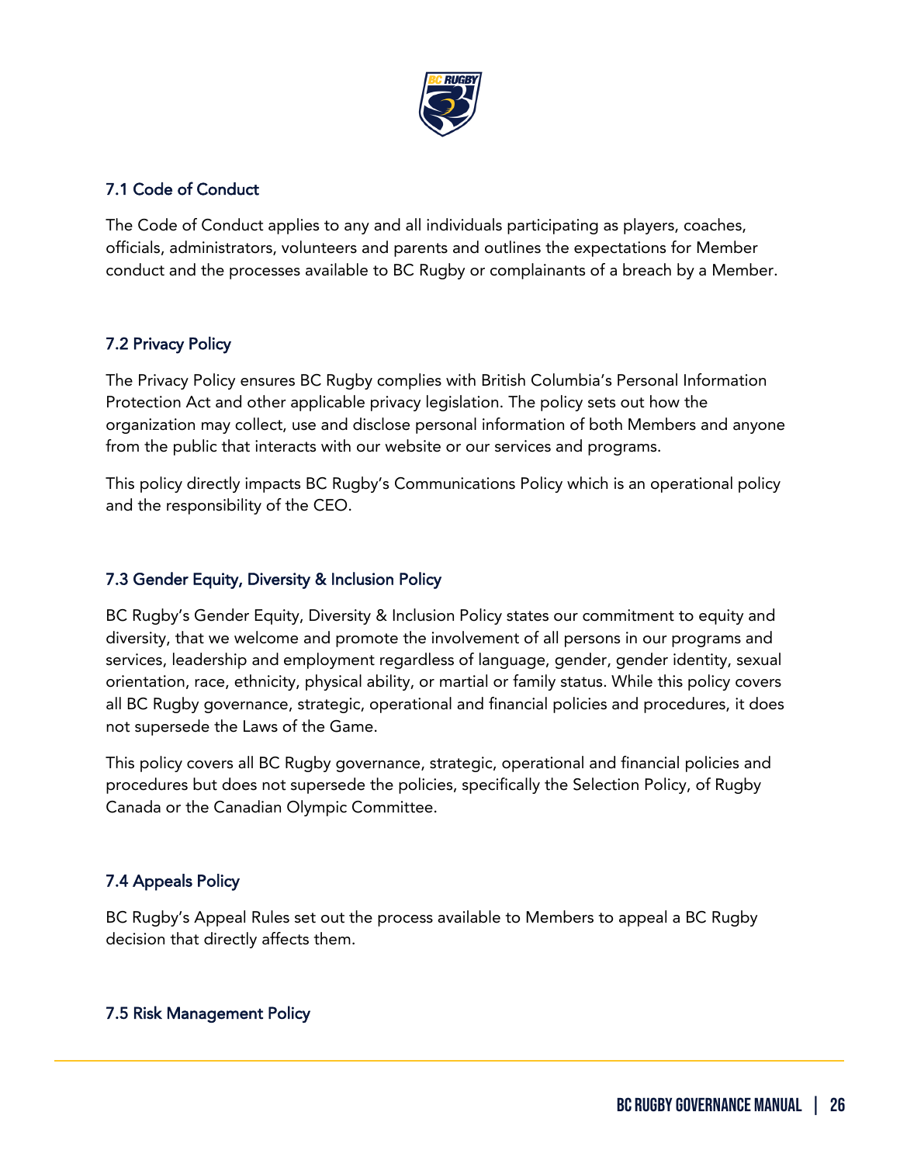

# 7.1 Code of Conduct

The Code of Conduct applies to any and all individuals participating as players, coaches, officials, administrators, volunteers and parents and outlines the expectations for Member conduct and the processes available to BC Rugby or complainants of a breach by a Member.

# 7.2 Privacy Policy

The Privacy Policy ensures BC Rugby complies with British Columbia's Personal Information Protection Act and other applicable privacy legislation. The policy sets out how the organization may collect, use and disclose personal information of both Members and anyone from the public that interacts with our website or our services and programs.

This policy directly impacts BC Rugby's Communications Policy which is an operational policy and the responsibility of the CEO.

## 7.3 Gender Equity, Diversity & Inclusion Policy

BC Rugby's Gender Equity, Diversity & Inclusion Policy states our commitment to equity and diversity, that we welcome and promote the involvement of all persons in our programs and services, leadership and employment regardless of language, gender, gender identity, sexual orientation, race, ethnicity, physical ability, or martial or family status. While this policy covers all BC Rugby governance, strategic, operational and financial policies and procedures, it does not supersede the Laws of the Game.

This policy covers all BC Rugby governance, strategic, operational and financial policies and procedures but does not supersede the policies, specifically the Selection Policy, of Rugby Canada or the Canadian Olympic Committee.

# 7.4 Appeals Policy

ֺ

BC Rugby's Appeal Rules set out the process available to Members to appeal a BC Rugby decision that directly affects them.

## 7.5 Risk Management Policy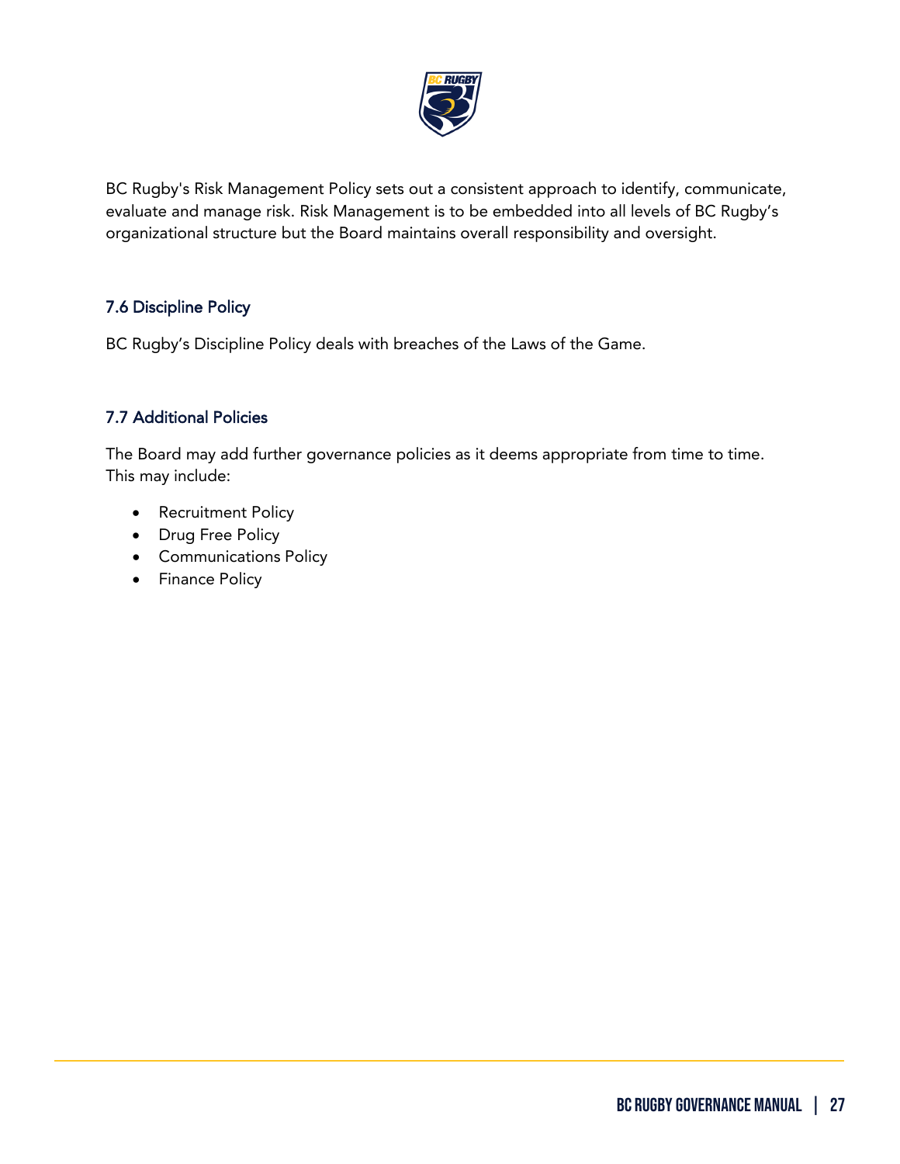

BC Rugby's Risk Management Policy sets out a consistent approach to identify, communicate, evaluate and manage risk. Risk Management is to be embedded into all levels of BC Rugby's organizational structure but the Board maintains overall responsibility and oversight.

# 7.6 Discipline Policy

BC Rugby's Discipline Policy deals with breaches of the Laws of the Game.

# 7.7 Additional Policies

The Board may add further governance policies as it deems appropriate from time to time. This may include:

- Recruitment Policy
- Drug Free Policy
- Communications Policy
- Finance Policy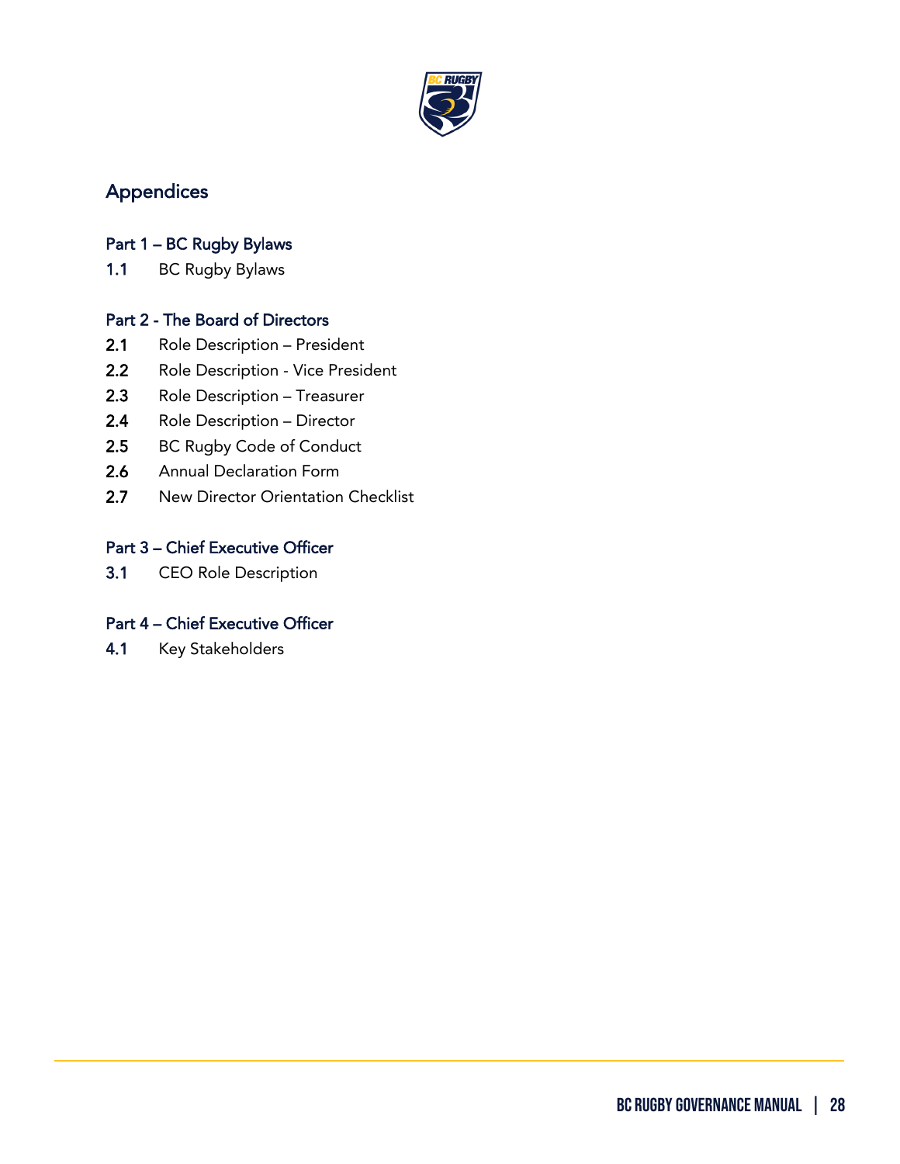

# <span id="page-27-0"></span>Appendices

# Part 1 – BC Rugby Bylaws

1.1 BC Rugby Bylaws

# Part 2 - The Board of Directors

- 2.1 Role Description President
- 2.2 Role Description Vice President
- 2.3 Role Description Treasurer
- 2.4 Role Description Director
- 2.5 BC Rugby Code of Conduct
- 2.6 Annual Declaration Form
- 2.7 New Director Orientation Checklist

# Part 3 – Chief Executive Officer

3.1 CEO Role Description

# Part 4 – Chief Executive Officer

4.1 Key Stakeholders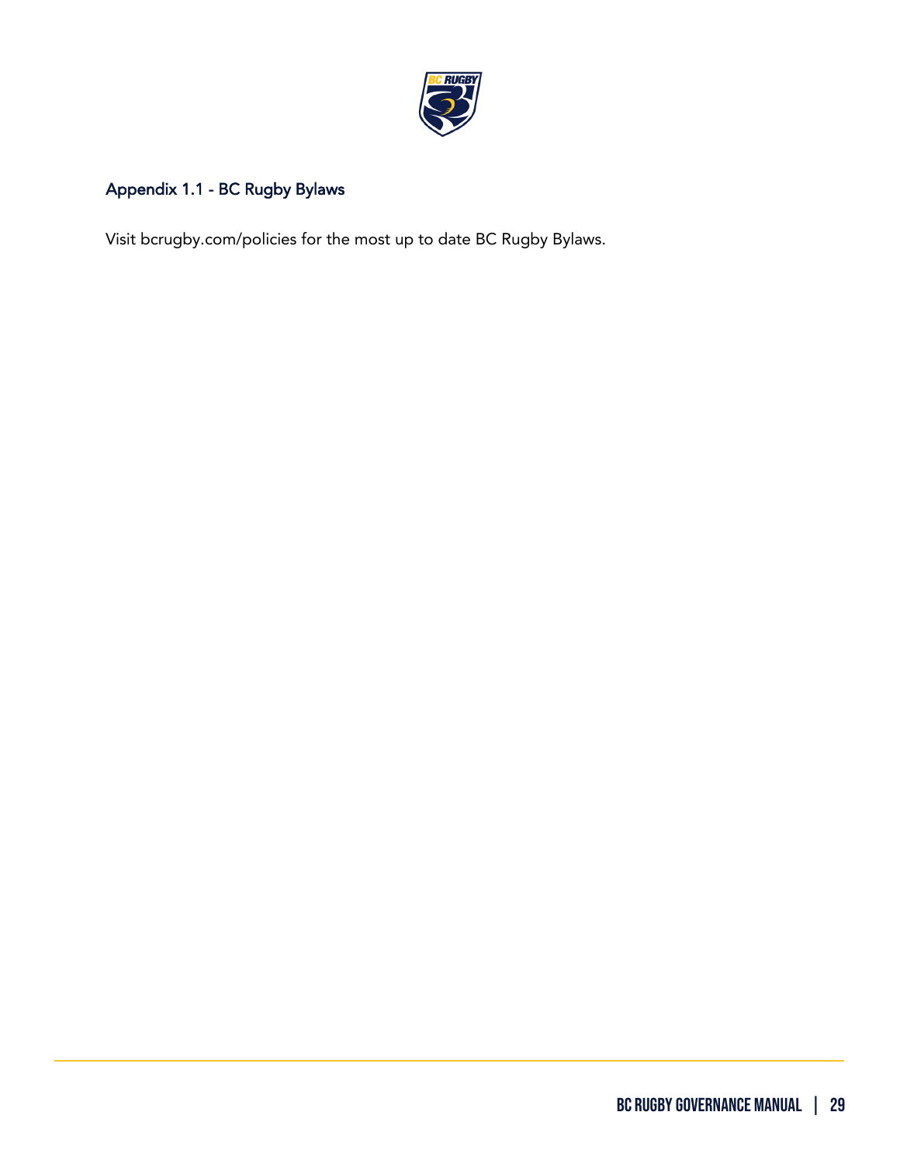

# Appendix 1.1 - BC Rugby Bylaws

ֺ

Visit bcrugby.com/policies for the most up to date BC Rugby Bylaws.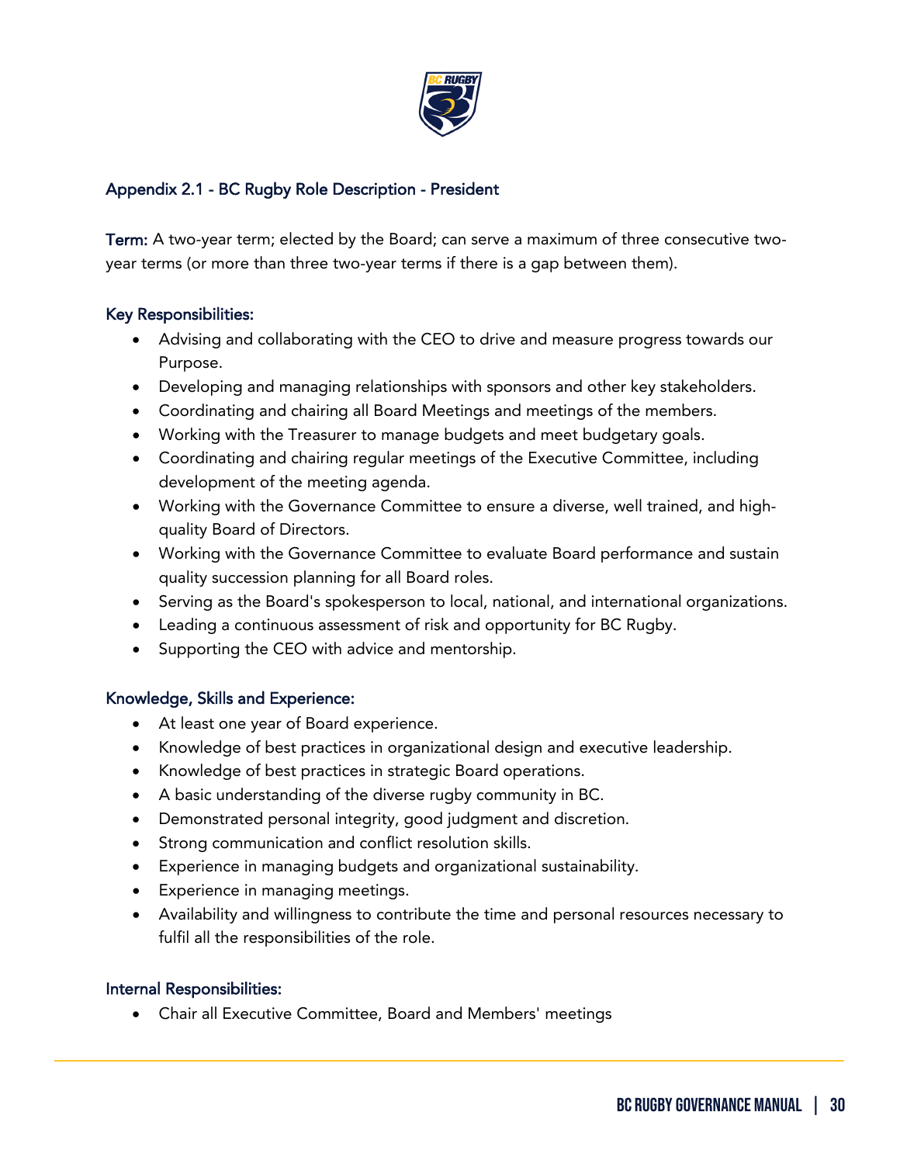

## Appendix 2.1 - BC Rugby Role Description - President

Term: A two-year term; elected by the Board; can serve a maximum of three consecutive twoyear terms (or more than three two-year terms if there is a gap between them).

## Key Responsibilities:

- Advising and collaborating with the CEO to drive and measure progress towards our Purpose.
- Developing and managing relationships with sponsors and other key stakeholders.
- Coordinating and chairing all Board Meetings and meetings of the members.
- Working with the Treasurer to manage budgets and meet budgetary goals.
- Coordinating and chairing regular meetings of the Executive Committee, including development of the meeting agenda.
- Working with the Governance Committee to ensure a diverse, well trained, and highquality Board of Directors.
- Working with the Governance Committee to evaluate Board performance and sustain quality succession planning for all Board roles.
- Serving as the Board's spokesperson to local, national, and international organizations.
- Leading a continuous assessment of risk and opportunity for BC Rugby.
- Supporting the CEO with advice and mentorship.

## Knowledge, Skills and Experience:

- At least one year of Board experience.
- Knowledge of best practices in organizational design and executive leadership.
- Knowledge of best practices in strategic Board operations.
- A basic understanding of the diverse rugby community in BC.
- Demonstrated personal integrity, good judgment and discretion.
- Strong communication and conflict resolution skills.
- Experience in managing budgets and organizational sustainability.
- Experience in managing meetings.
- Availability and willingness to contribute the time and personal resources necessary to fulfil all the responsibilities of the role.

## Internal Responsibilities:

ֺ

• Chair all Executive Committee, Board and Members' meetings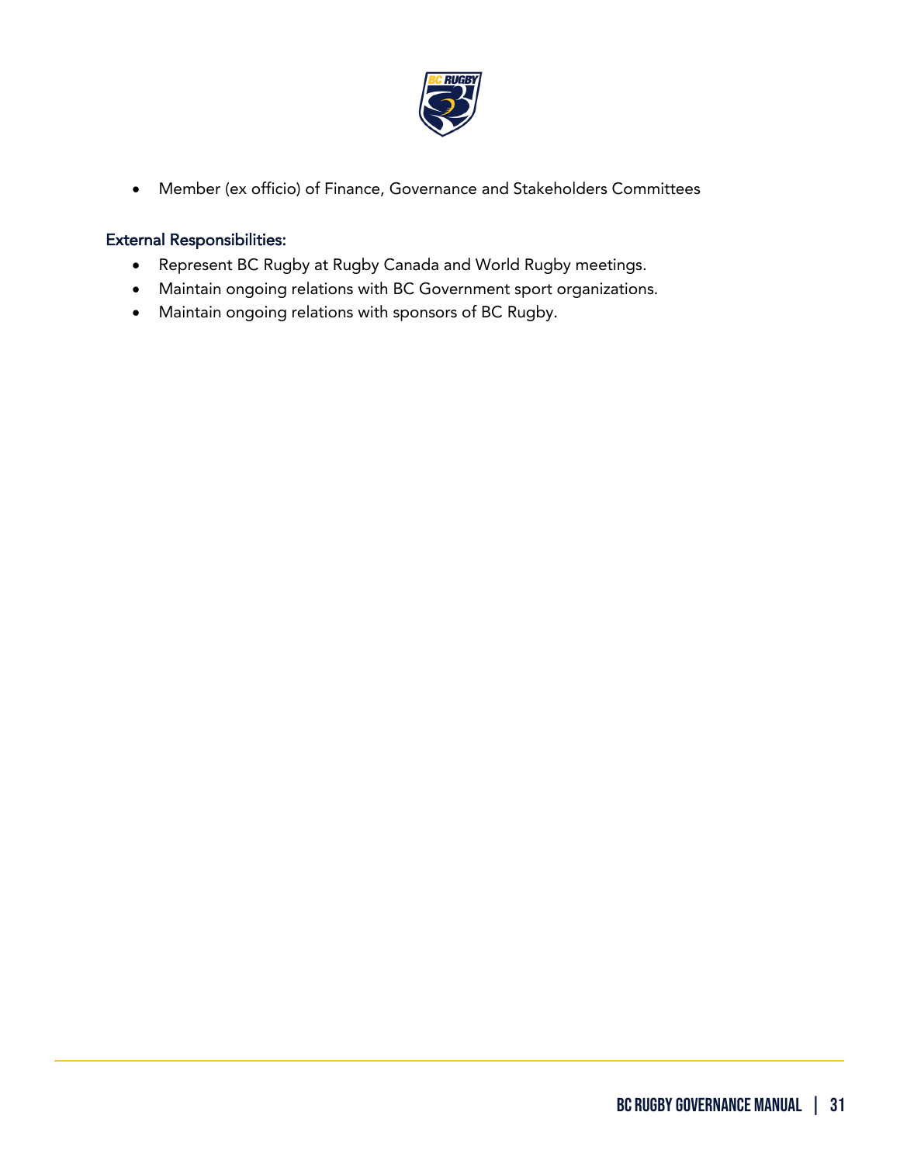

• Member (ex officio) of Finance, Governance and Stakeholders Committees

# External Responsibilities:

- Represent BC Rugby at Rugby Canada and World Rugby meetings.
- Maintain ongoing relations with BC Government sport organizations.
- Maintain ongoing relations with sponsors of BC Rugby.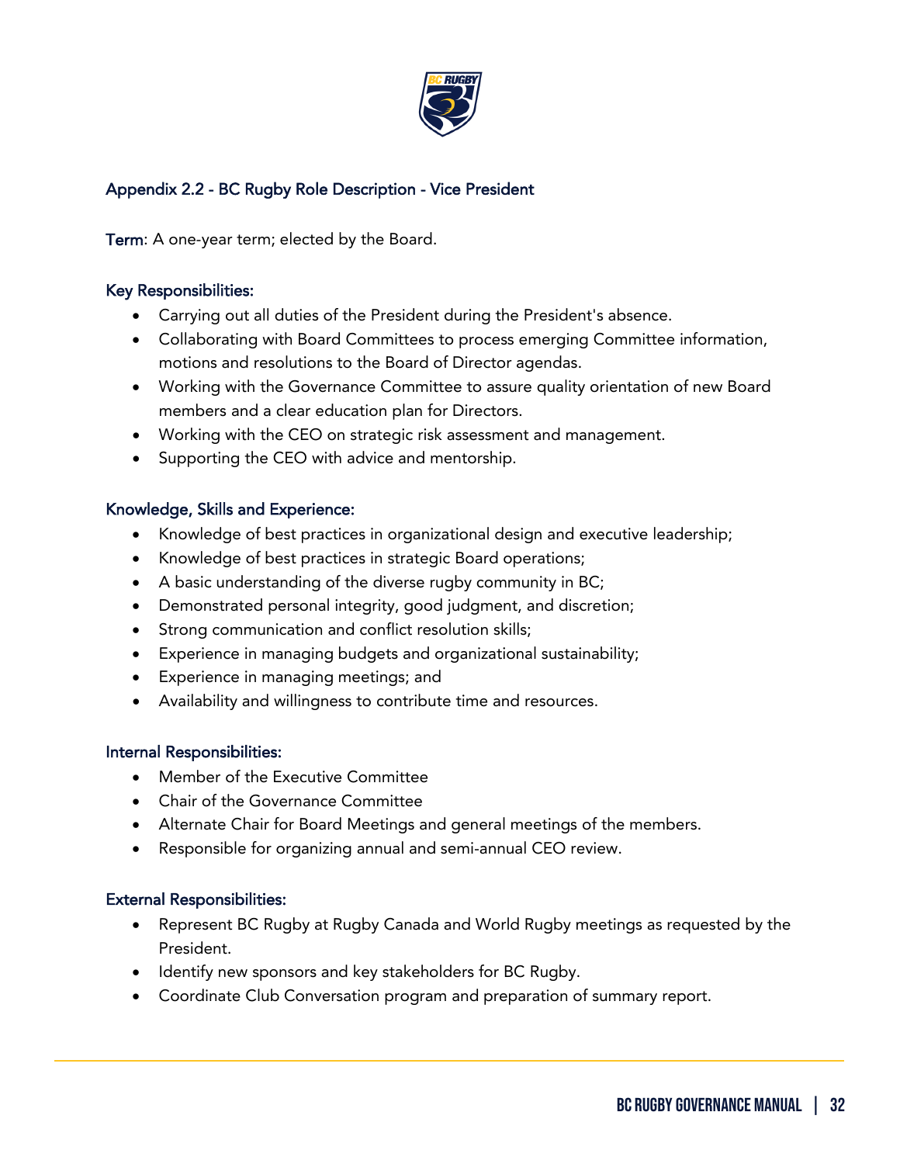

# Appendix 2.2 - BC Rugby Role Description - Vice President

Term: A one-year term; elected by the Board.

#### Key Responsibilities:

- Carrying out all duties of the President during the President's absence.
- Collaborating with Board Committees to process emerging Committee information, motions and resolutions to the Board of Director agendas.
- Working with the Governance Committee to assure quality orientation of new Board members and a clear education plan for Directors.
- Working with the CEO on strategic risk assessment and management.
- Supporting the CEO with advice and mentorship.

#### Knowledge, Skills and Experience:

- Knowledge of best practices in organizational design and executive leadership;
- Knowledge of best practices in strategic Board operations;
- A basic understanding of the diverse rugby community in BC;
- Demonstrated personal integrity, good judgment, and discretion;
- Strong communication and conflict resolution skills;
- Experience in managing budgets and organizational sustainability;
- Experience in managing meetings; and
- Availability and willingness to contribute time and resources.

#### Internal Responsibilities:

- Member of the Executive Committee
- Chair of the Governance Committee
- Alternate Chair for Board Meetings and general meetings of the members.
- Responsible for organizing annual and semi-annual CEO review.

#### External Responsibilities:

- Represent BC Rugby at Rugby Canada and World Rugby meetings as requested by the President.
- Identify new sponsors and key stakeholders for BC Rugby.
- Coordinate Club Conversation program and preparation of summary report.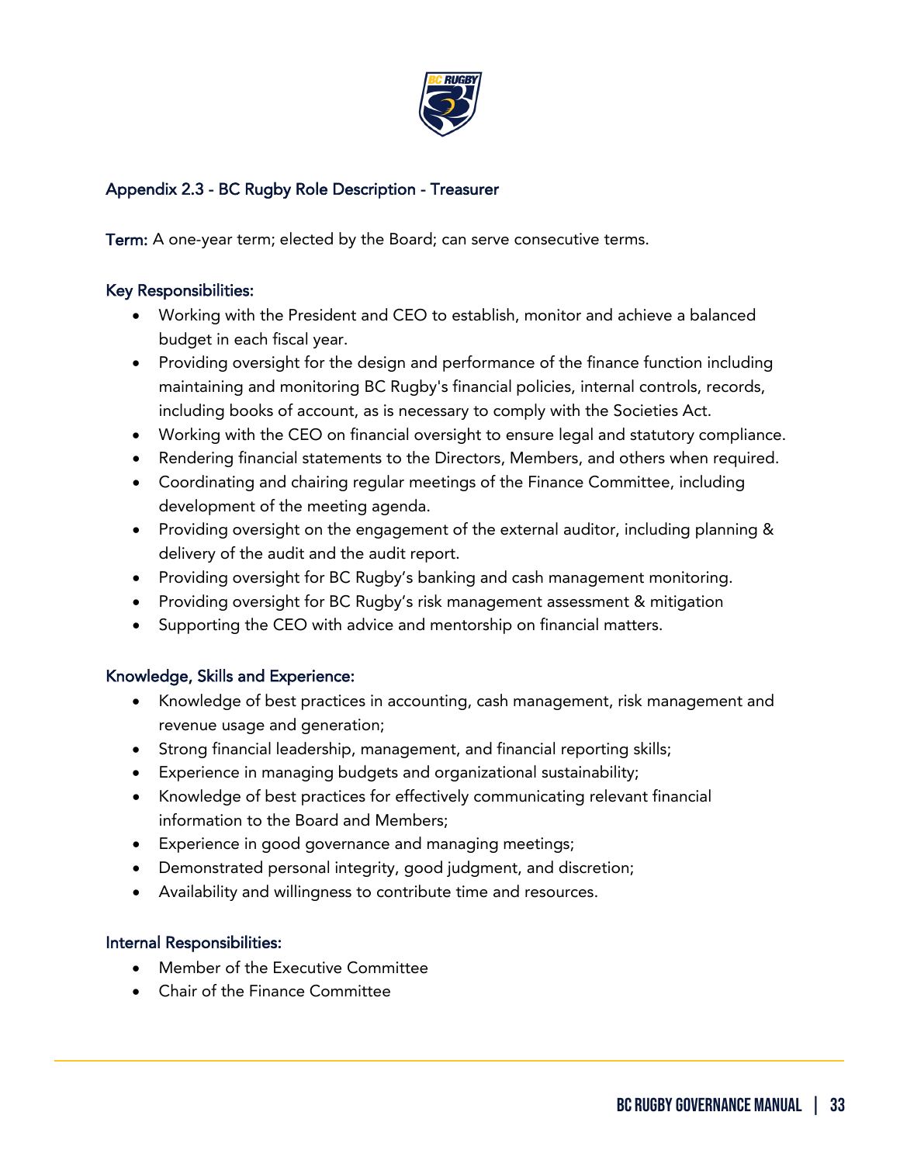

# Appendix 2.3 - BC Rugby Role Description - Treasurer

Term: A one-year term; elected by the Board; can serve consecutive terms.

#### Key Responsibilities:

- Working with the President and CEO to establish, monitor and achieve a balanced budget in each fiscal year.
- Providing oversight for the design and performance of the finance function including maintaining and monitoring BC Rugby's financial policies, internal controls, records, including books of account, as is necessary to comply with the Societies Act.
- Working with the CEO on financial oversight to ensure legal and statutory compliance.
- Rendering financial statements to the Directors, Members, and others when required.
- Coordinating and chairing regular meetings of the Finance Committee, including development of the meeting agenda.
- Providing oversight on the engagement of the external auditor, including planning & delivery of the audit and the audit report.
- Providing oversight for BC Rugby's banking and cash management monitoring.
- Providing oversight for BC Rugby's risk management assessment & mitigation
- Supporting the CEO with advice and mentorship on financial matters.

## Knowledge, Skills and Experience:

- Knowledge of best practices in accounting, cash management, risk management and revenue usage and generation;
- Strong financial leadership, management, and financial reporting skills;
- Experience in managing budgets and organizational sustainability;
- Knowledge of best practices for effectively communicating relevant financial information to the Board and Members;
- Experience in good governance and managing meetings;
- Demonstrated personal integrity, good judgment, and discretion;
- Availability and willingness to contribute time and resources.

## Internal Responsibilities:

- Member of the Executive Committee
- Chair of the Finance Committee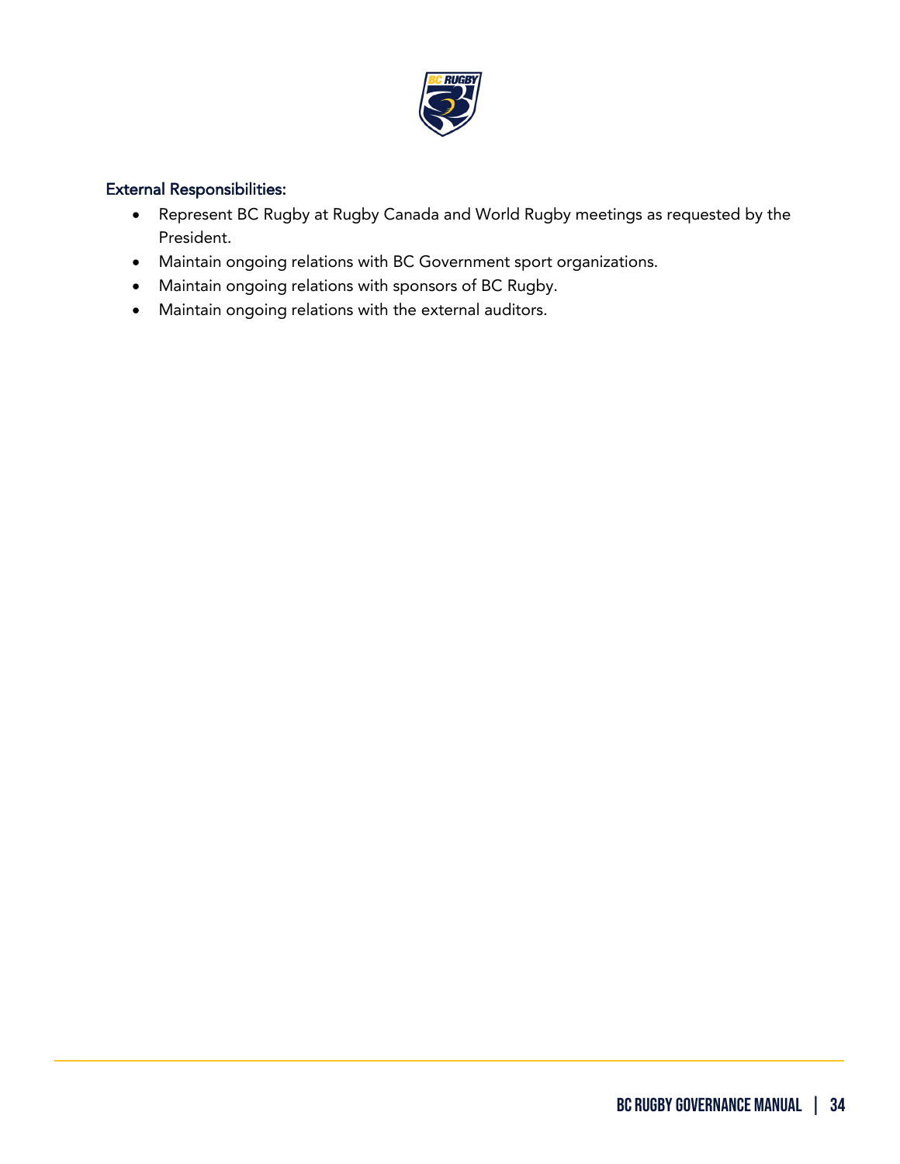

# External Responsibilities:

- Represent BC Rugby at Rugby Canada and World Rugby meetings as requested by the President.
- Maintain ongoing relations with BC Government sport organizations.
- Maintain ongoing relations with sponsors of BC Rugby.
- Maintain ongoing relations with the external auditors.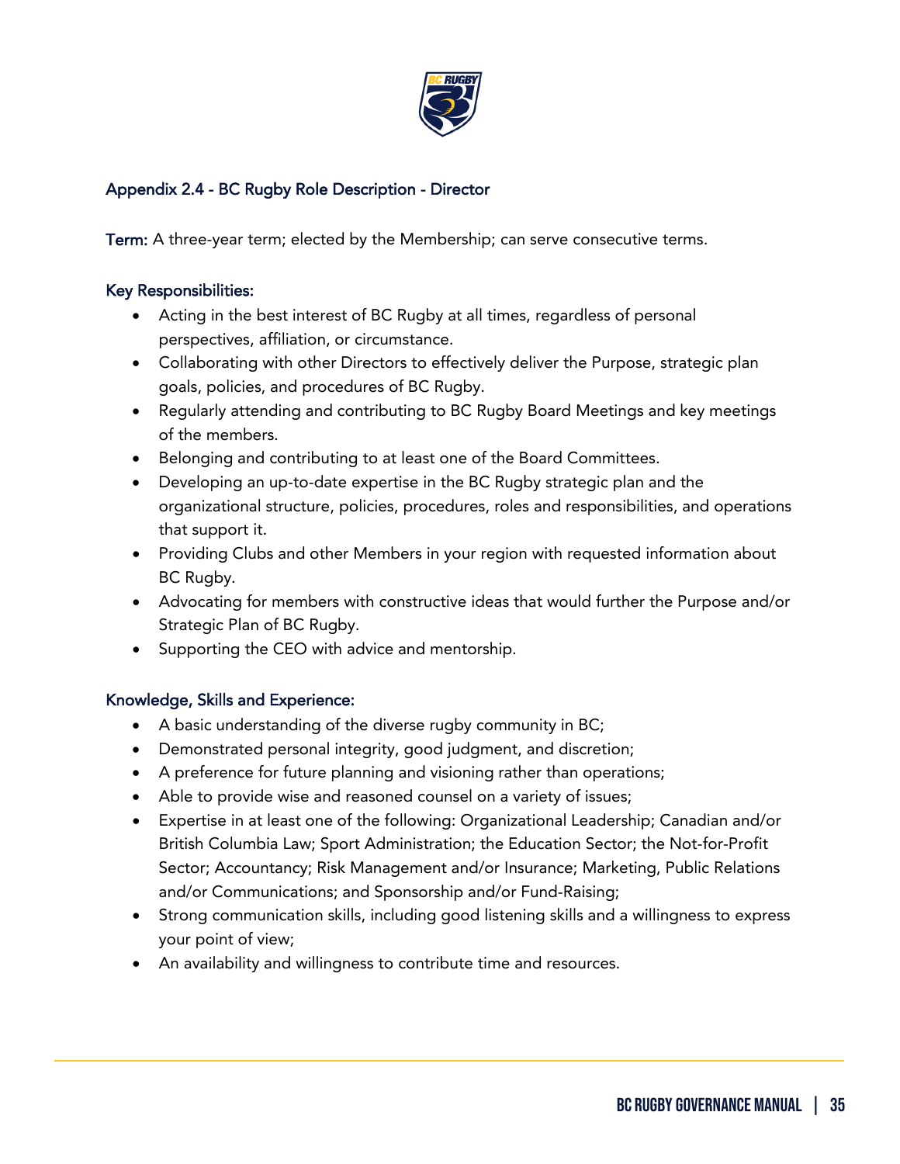

## Appendix 2.4 - BC Rugby Role Description - Director

Term: A three-year term; elected by the Membership; can serve consecutive terms.

#### Key Responsibilities:

- Acting in the best interest of BC Rugby at all times, regardless of personal perspectives, affiliation, or circumstance.
- Collaborating with other Directors to effectively deliver the Purpose, strategic plan goals, policies, and procedures of BC Rugby.
- Regularly attending and contributing to BC Rugby Board Meetings and key meetings of the members.
- Belonging and contributing to at least one of the Board Committees.
- Developing an up-to-date expertise in the BC Rugby strategic plan and the organizational structure, policies, procedures, roles and responsibilities, and operations that support it.
- Providing Clubs and other Members in your region with requested information about BC Rugby.
- Advocating for members with constructive ideas that would further the Purpose and/or Strategic Plan of BC Rugby.
- Supporting the CEO with advice and mentorship.

## Knowledge, Skills and Experience:

- A basic understanding of the diverse rugby community in BC;
- Demonstrated personal integrity, good judgment, and discretion;
- A preference for future planning and visioning rather than operations;
- Able to provide wise and reasoned counsel on a variety of issues;
- Expertise in at least one of the following: Organizational Leadership; Canadian and/or British Columbia Law; Sport Administration; the Education Sector; the Not-for-Profit Sector; Accountancy; Risk Management and/or Insurance; Marketing, Public Relations and/or Communications; and Sponsorship and/or Fund-Raising;
- Strong communication skills, including good listening skills and a willingness to express your point of view;
- An availability and willingness to contribute time and resources.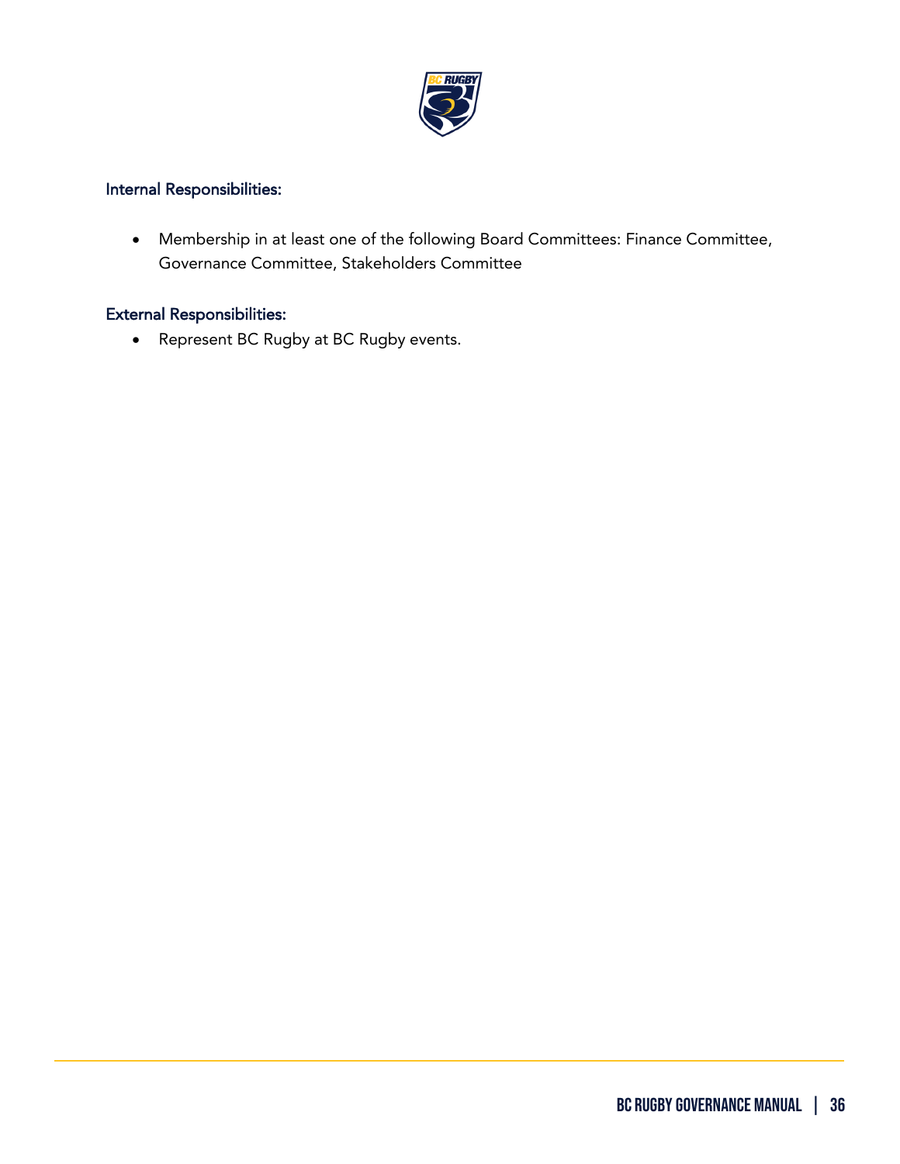

# Internal Responsibilities:

• Membership in at least one of the following Board Committees: Finance Committee, Governance Committee, Stakeholders Committee

#### External Responsibilities:

ֺ

• Represent BC Rugby at BC Rugby events.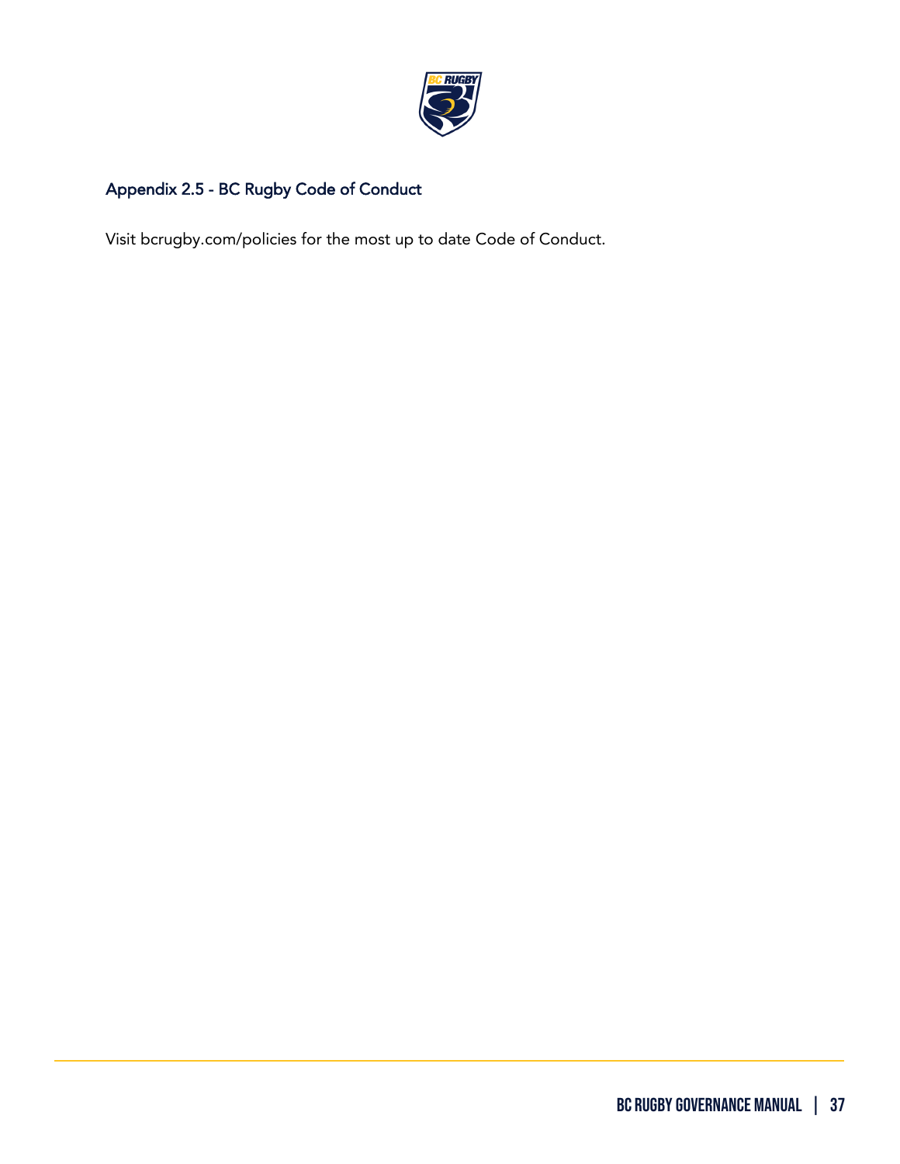

# Appendix 2.5 - BC Rugby Code of Conduct

ֺ

Visit bcrugby.com/policies for the most up to date Code of Conduct.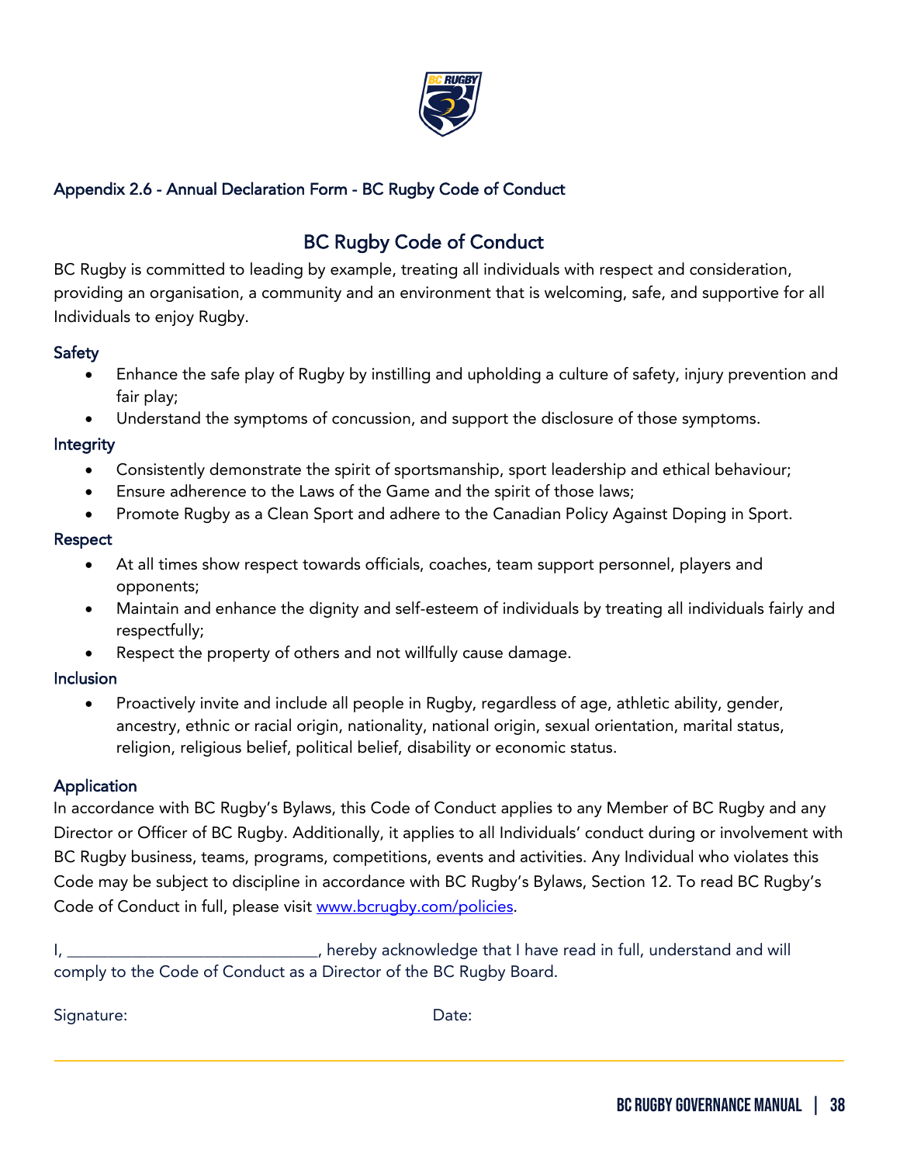

# Appendix 2.6 - Annual Declaration Form - BC Rugby Code of Conduct

# BC Rugby Code of Conduct

BC Rugby is committed to leading by example, treating all individuals with respect and consideration, providing an organisation, a community and an environment that is welcoming, safe, and supportive for all Individuals to enjoy Rugby.

# Safety

- Enhance the safe play of Rugby by instilling and upholding a culture of safety, injury prevention and fair play;
- Understand the symptoms of concussion, and support the disclosure of those symptoms.

## Integrity

- Consistently demonstrate the spirit of sportsmanship, sport leadership and ethical behaviour;
- Ensure adherence to the Laws of the Game and the spirit of those laws;
- Promote Rugby as a Clean Sport and adhere to the Canadian Policy Against Doping in Sport.

# Respect

- At all times show respect towards officials, coaches, team support personnel, players and opponents;
- Maintain and enhance the dignity and self-esteem of individuals by treating all individuals fairly and respectfully;
- Respect the property of others and not willfully cause damage.

## **Inclusion**

• Proactively invite and include all people in Rugby, regardless of age, athletic ability, gender, ancestry, ethnic or racial origin, nationality, national origin, sexual orientation, marital status, religion, religious belief, political belief, disability or economic status.

# Application

In accordance with BC Rugby's Bylaws, this Code of Conduct applies to any Member of BC Rugby and any Director or Officer of BC Rugby. Additionally, it applies to all Individuals' conduct during or involvement with BC Rugby business, teams, programs, competitions, events and activities. Any Individual who violates this Code may be subject to discipline in accordance with BC Rugby's Bylaws, Section 12. To read BC Rugby's Code of Conduct in full, please visit [www.bcrugby.com/policies.](http://www.bcrugby.com/policies) 

I, \_\_\_\_\_\_\_\_\_\_\_\_\_\_\_\_\_\_\_\_\_\_\_\_\_\_\_\_\_\_\_, hereby acknowledge that I have read in full, understand and will comply to the Code of Conduct as a Director of the BC Rugby Board.

Signature: Date: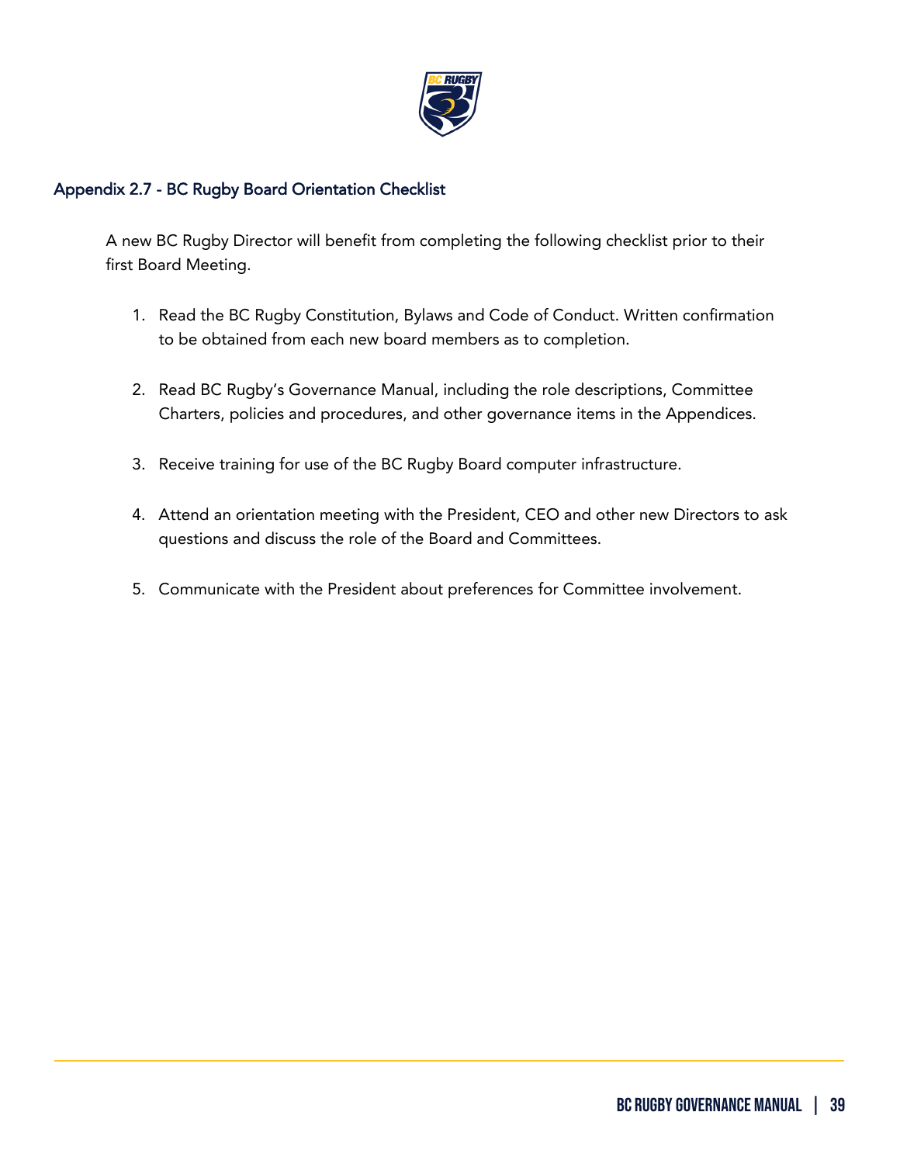

## Appendix 2.7 - BC Rugby Board Orientation Checklist

ֺ

A new BC Rugby Director will benefit from completing the following checklist prior to their first Board Meeting.

- 1. Read the BC Rugby Constitution, Bylaws and Code of Conduct. Written confirmation to be obtained from each new board members as to completion.
- 2. Read BC Rugby's Governance Manual, including the role descriptions, Committee Charters, policies and procedures, and other governance items in the Appendices.
- 3. Receive training for use of the BC Rugby Board computer infrastructure.
- 4. Attend an orientation meeting with the President, CEO and other new Directors to ask questions and discuss the role of the Board and Committees.
- 5. Communicate with the President about preferences for Committee involvement.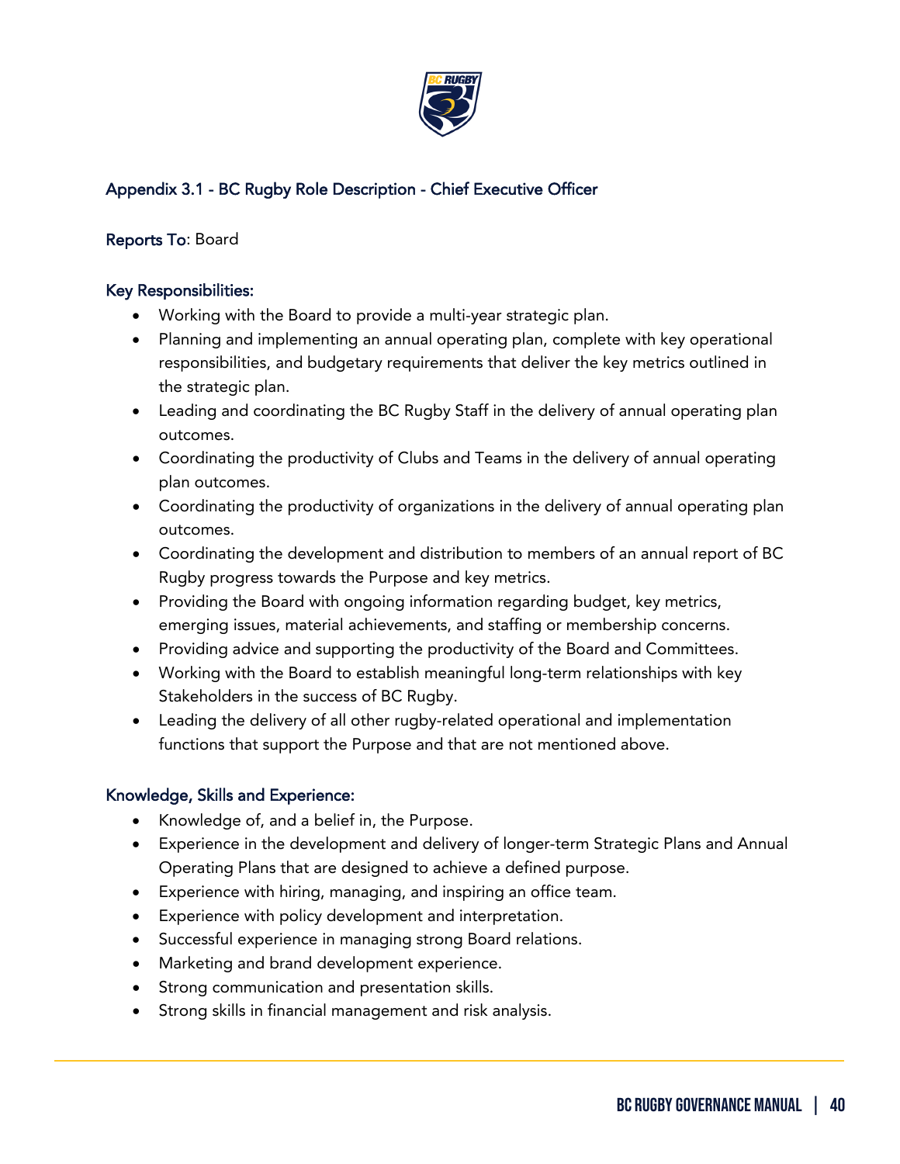

# Appendix 3.1 - BC Rugby Role Description - Chief Executive Officer

# Reports To: Board

## Key Responsibilities:

- Working with the Board to provide a multi-year strategic plan.
- Planning and implementing an annual operating plan, complete with key operational responsibilities, and budgetary requirements that deliver the key metrics outlined in the strategic plan.
- Leading and coordinating the BC Rugby Staff in the delivery of annual operating plan outcomes.
- Coordinating the productivity of Clubs and Teams in the delivery of annual operating plan outcomes.
- Coordinating the productivity of organizations in the delivery of annual operating plan outcomes.
- Coordinating the development and distribution to members of an annual report of BC Rugby progress towards the Purpose and key metrics.
- Providing the Board with ongoing information regarding budget, key metrics, emerging issues, material achievements, and staffing or membership concerns.
- Providing advice and supporting the productivity of the Board and Committees.
- Working with the Board to establish meaningful long-term relationships with key Stakeholders in the success of BC Rugby.
- Leading the delivery of all other rugby-related operational and implementation functions that support the Purpose and that are not mentioned above.

## Knowledge, Skills and Experience:

- Knowledge of, and a belief in, the Purpose.
- Experience in the development and delivery of longer-term Strategic Plans and Annual Operating Plans that are designed to achieve a defined purpose.
- Experience with hiring, managing, and inspiring an office team.
- Experience with policy development and interpretation.
- Successful experience in managing strong Board relations.
- Marketing and brand development experience.
- Strong communication and presentation skills.
- Strong skills in financial management and risk analysis.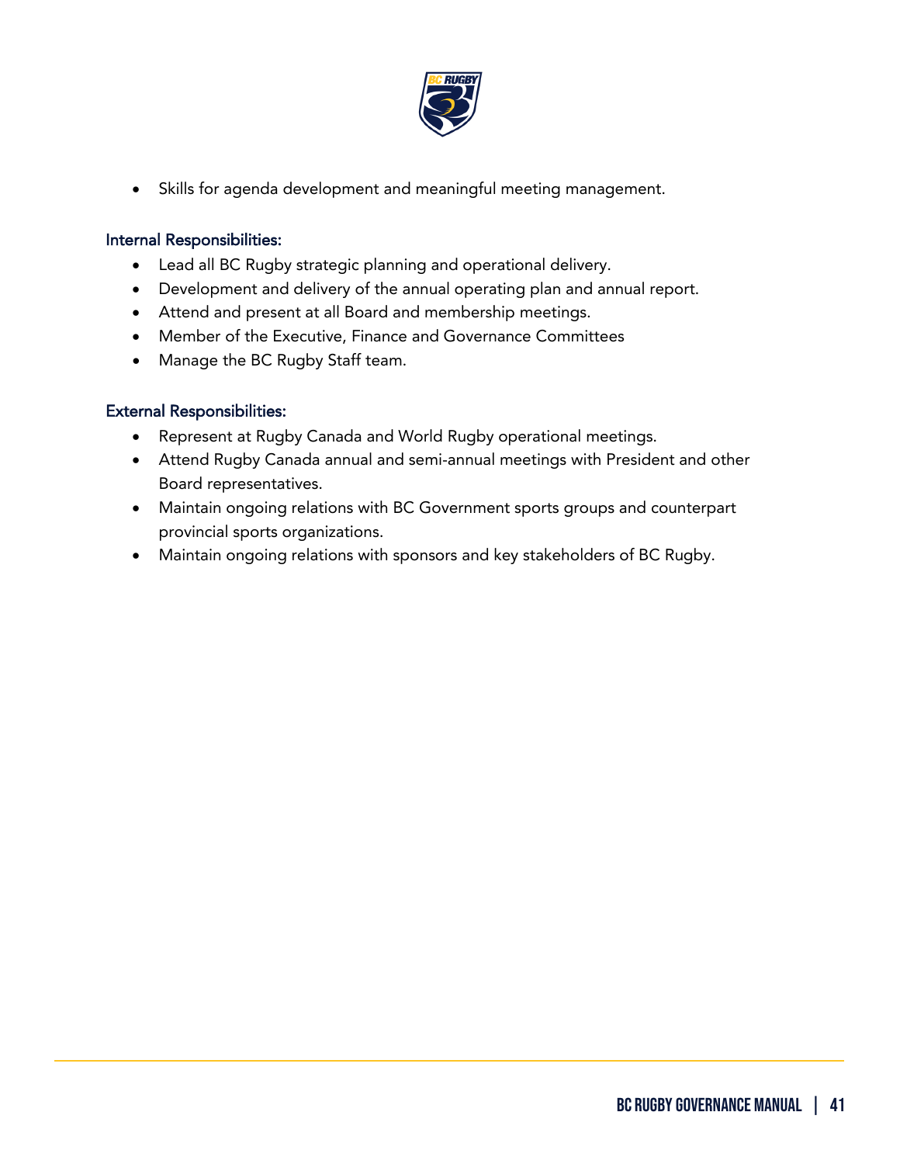

• Skills for agenda development and meaningful meeting management.

## Internal Responsibilities:

- Lead all BC Rugby strategic planning and operational delivery.
- Development and delivery of the annual operating plan and annual report.
- Attend and present at all Board and membership meetings.
- Member of the Executive, Finance and Governance Committees
- Manage the BC Rugby Staff team.

#### External Responsibilities:

- Represent at Rugby Canada and World Rugby operational meetings.
- Attend Rugby Canada annual and semi-annual meetings with President and other Board representatives.
- Maintain ongoing relations with BC Government sports groups and counterpart provincial sports organizations.
- Maintain ongoing relations with sponsors and key stakeholders of BC Rugby.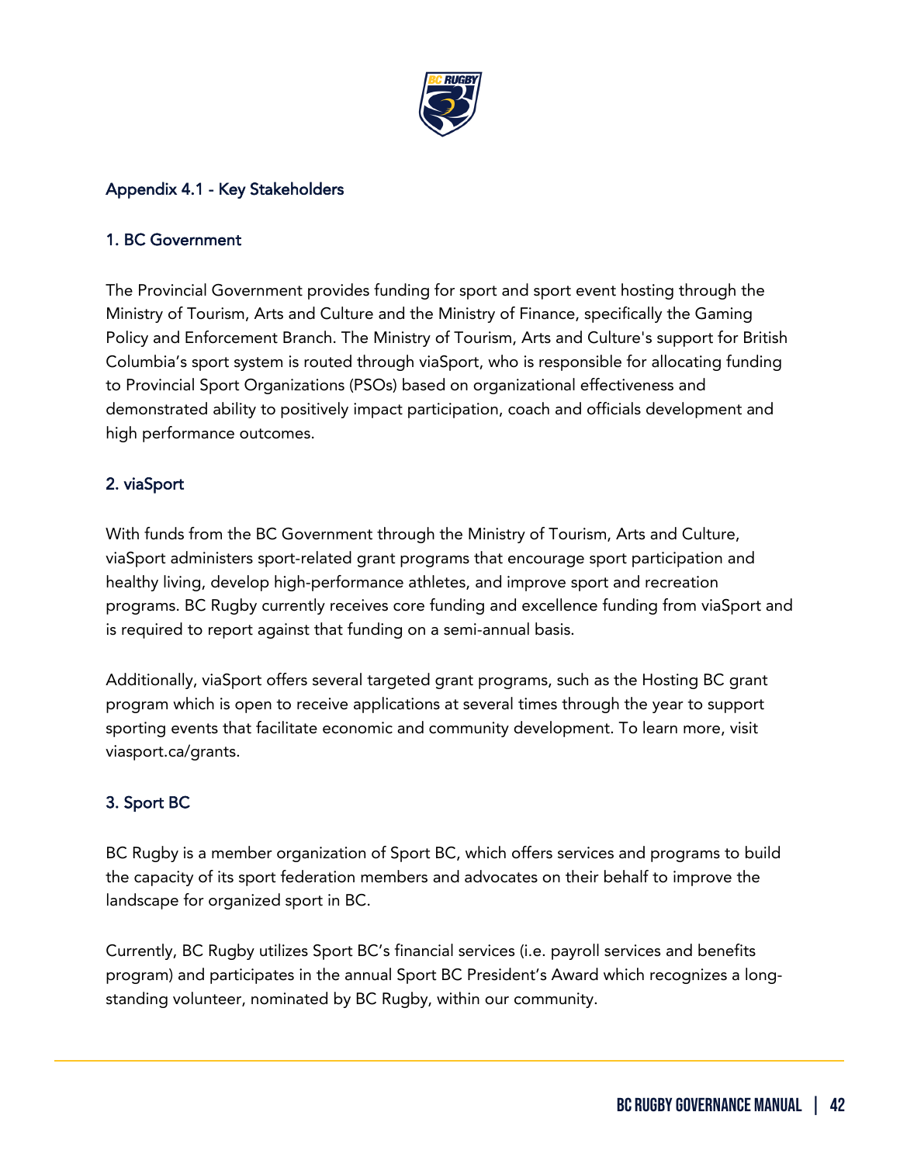

# Appendix 4.1 - Key Stakeholders

#### 1. BC Government

The Provincial Government provides funding for sport and sport event hosting through the Ministry of Tourism, Arts and Culture and the Ministry of Finance, specifically the Gaming Policy and Enforcement Branch. The Ministry of Tourism, Arts and Culture's support for British Columbia's sport system is routed through viaSport, who is responsible for allocating funding to Provincial Sport Organizations (PSOs) based on organizational effectiveness and demonstrated ability to positively impact participation, coach and officials development and high performance outcomes.

## 2. viaSport

With funds from the BC Government through the Ministry of Tourism, Arts and Culture, viaSport administers sport-related grant programs that encourage sport participation and healthy living, develop high-performance athletes, and improve sport and recreation programs. BC Rugby currently receives core funding and excellence funding from viaSport and is required to report against that funding on a semi-annual basis.

Additionally, viaSport offers several targeted grant programs, such as the Hosting BC grant program which is open to receive applications at several times through the year to support sporting events that facilitate economic and community development. To learn more, visit viasport.ca/grants.

# 3. Sport BC

ֺ

BC Rugby is a member organization of Sport BC, which offers services and programs to build the capacity of its sport federation members and advocates on their behalf to improve the landscape for organized sport in BC.

Currently, BC Rugby utilizes Sport BC's financial services (i.e. payroll services and benefits program) and participates in the annual Sport BC President's Award which recognizes a longstanding volunteer, nominated by BC Rugby, within our community.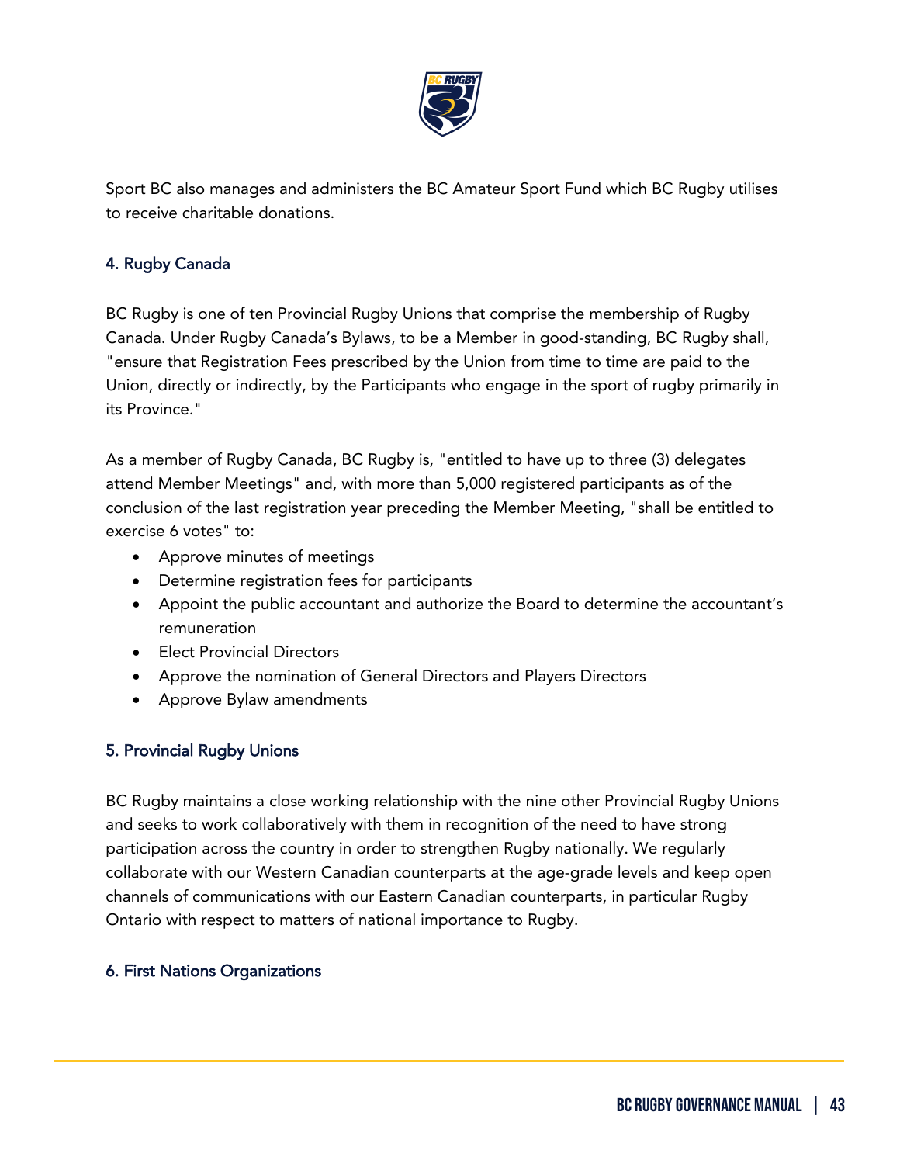

Sport BC also manages and administers the BC Amateur Sport Fund which BC Rugby utilises to receive charitable donations.

# 4. Rugby Canada

BC Rugby is one of ten Provincial Rugby Unions that comprise the membership of Rugby Canada. Under Rugby Canada's Bylaws, to be a Member in good-standing, BC Rugby shall, "ensure that Registration Fees prescribed by the Union from time to time are paid to the Union, directly or indirectly, by the Participants who engage in the sport of rugby primarily in its Province."

As a member of Rugby Canada, BC Rugby is, "entitled to have up to three (3) delegates attend Member Meetings" and, with more than 5,000 registered participants as of the conclusion of the last registration year preceding the Member Meeting, "shall be entitled to exercise 6 votes" to:

- Approve minutes of meetings
- Determine registration fees for participants
- Appoint the public accountant and authorize the Board to determine the accountant's remuneration
- Elect Provincial Directors
- Approve the nomination of General Directors and Players Directors
- Approve Bylaw amendments

## 5. Provincial Rugby Unions

BC Rugby maintains a close working relationship with the nine other Provincial Rugby Unions and seeks to work collaboratively with them in recognition of the need to have strong participation across the country in order to strengthen Rugby nationally. We regularly collaborate with our Western Canadian counterparts at the age-grade levels and keep open channels of communications with our Eastern Canadian counterparts, in particular Rugby Ontario with respect to matters of national importance to Rugby.

## 6. First Nations Organizations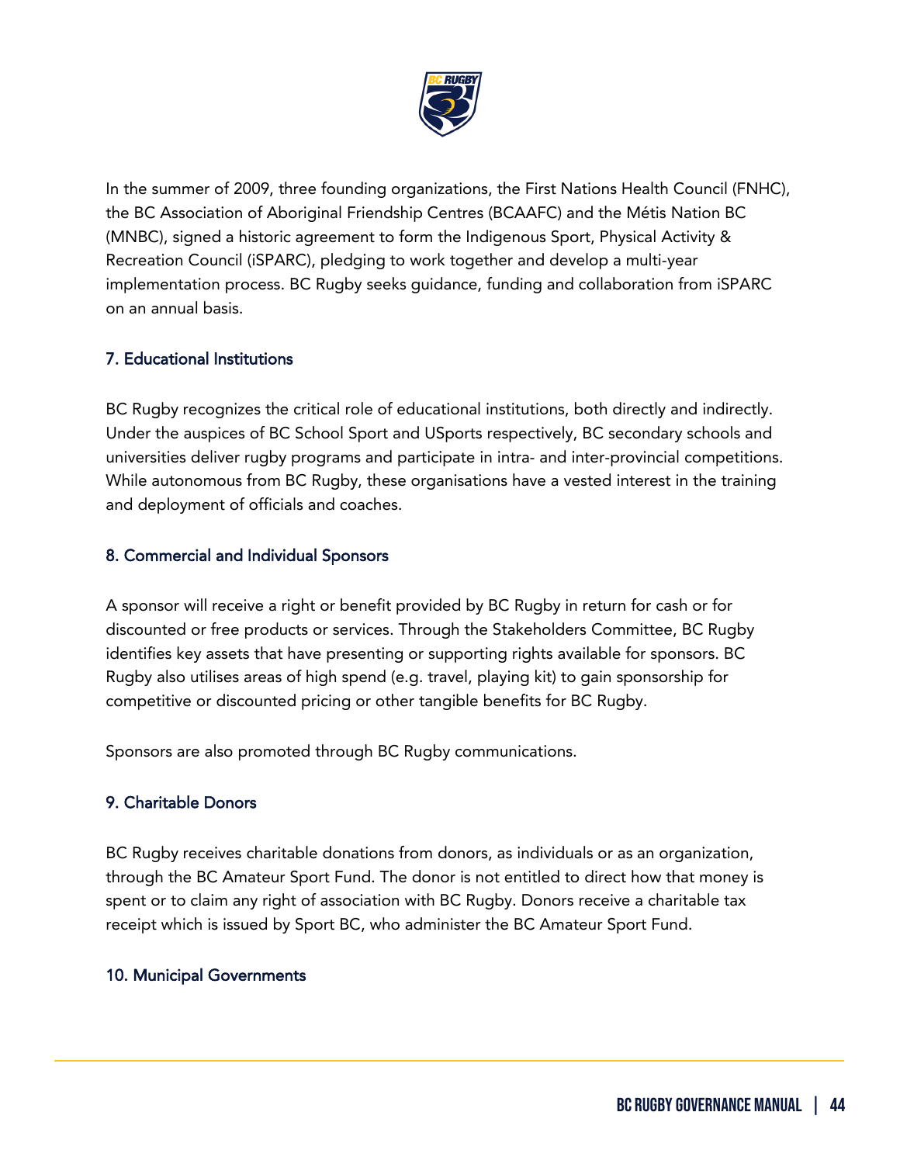

In the summer of 2009, three founding organizations, the First Nations Health Council (FNHC), the BC Association of Aboriginal Friendship Centres (BCAAFC) and the Métis Nation BC (MNBC), signed a historic agreement to form the Indigenous Sport, Physical Activity & Recreation Council (iSPARC), pledging to work together and develop a multi-year implementation process. BC Rugby seeks guidance, funding and collaboration from iSPARC on an annual basis.

## 7. Educational Institutions

BC Rugby recognizes the critical role of educational institutions, both directly and indirectly. Under the auspices of BC School Sport and USports respectively, BC secondary schools and universities deliver rugby programs and participate in intra- and inter-provincial competitions. While autonomous from BC Rugby, these organisations have a vested interest in the training and deployment of officials and coaches.

## 8. Commercial and Individual Sponsors

A sponsor will receive a right or benefit provided by BC Rugby in return for cash or for discounted or free products or services. Through the Stakeholders Committee, BC Rugby identifies key assets that have presenting or supporting rights available for sponsors. BC Rugby also utilises areas of high spend (e.g. travel, playing kit) to gain sponsorship for competitive or discounted pricing or other tangible benefits for BC Rugby.

Sponsors are also promoted through BC Rugby communications.

# 9. Charitable Donors

BC Rugby receives charitable donations from donors, as individuals or as an organization, through the BC Amateur Sport Fund. The donor is not entitled to direct how that money is spent or to claim any right of association with BC Rugby. Donors receive a charitable tax receipt which is issued by Sport BC, who administer the BC Amateur Sport Fund.

## 10. Municipal Governments